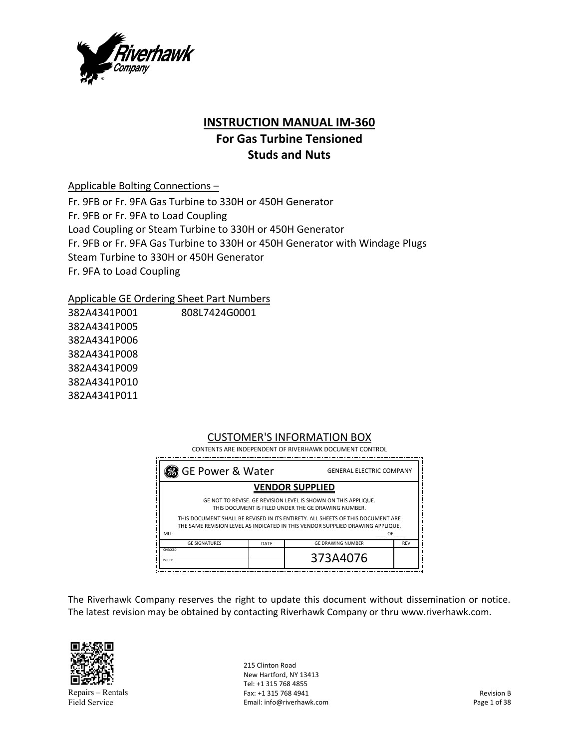

## **INSTRUCTION MANUAL IM‐360**

# **For Gas Turbine Tensioned Studs and Nuts**

Applicable Bolting Connections –

Fr. 9FB or Fr. 9FA Gas Turbine to 330H or 450H Generator Fr. 9FB or Fr. 9FA to Load Coupling Load Coupling or Steam Turbine to 330H or 450H Generator Fr. 9FB or Fr. 9FA Gas Turbine to 330H or 450H Generator with Windage Plugs Steam Turbine to 330H or 450H Generator Fr. 9FA to Load Coupling

Applicable GE Ordering Sheet Part Numbers

382A4341P001 382A4341P005 382A4341P006 382A4341P008 382A4341P009 382A4341P010 382A4341P011 808L7424G0001

#### CUSTOMER'S INFORMATION BOX CONTENTS ARE INDEPENDENT OF RIVERHAWK DOCUMENT CONTROL

| SGE Power & Water                                                                                                                                                                                                                                                                          |      | <b>GENERAL ELECTRIC COMPANY</b> |            |  |
|--------------------------------------------------------------------------------------------------------------------------------------------------------------------------------------------------------------------------------------------------------------------------------------------|------|---------------------------------|------------|--|
|                                                                                                                                                                                                                                                                                            |      | <b>VENDOR SUPPLIED</b>          |            |  |
| GE NOT TO REVISE. GE REVISION LEVEL IS SHOWN ON THIS APPLIQUE.<br>THIS DOCUMENT IS FILED UNDER THE GE DRAWING NUMBER.<br>THIS DOCUMENT SHALL BE REVISED IN ITS ENTIRETY. ALL SHEETS OF THIS DOCUMENT ARE<br>THE SAME REVISION LEVEL AS INDICATED IN THIS VENDOR SUPPLIED DRAWING APPLIQUE. |      |                                 |            |  |
| MLI:                                                                                                                                                                                                                                                                                       |      |                                 | OF         |  |
| <b>GE SIGNATURES</b>                                                                                                                                                                                                                                                                       | DATE | <b>GE DRAWING NUMBER</b>        | <b>REV</b> |  |
| CHECKED:<br>ISSUED:                                                                                                                                                                                                                                                                        |      | 373A4076                        |            |  |

The Riverhawk Company reserves the right to update this document without dissemination or notice. The latest revision may be obtained by contacting Riverhawk Company or thru www.riverhawk.com.



Repairs – Rentals Field Service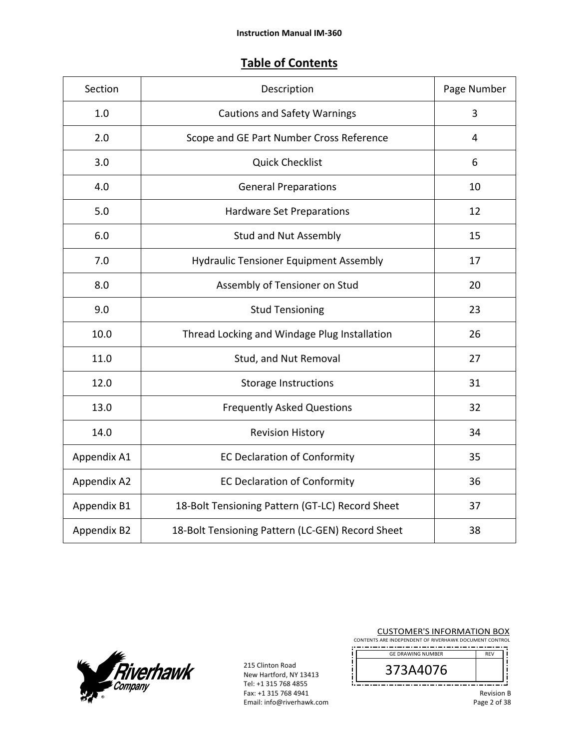## **Table of Contents**

| Section     | Description                                      | Page Number |
|-------------|--------------------------------------------------|-------------|
| 1.0         | <b>Cautions and Safety Warnings</b>              | 3           |
| 2.0         | Scope and GE Part Number Cross Reference         | 4           |
| 3.0         | <b>Quick Checklist</b>                           | 6           |
| 4.0         | <b>General Preparations</b>                      | 10          |
| 5.0         | <b>Hardware Set Preparations</b>                 | 12          |
| 6.0         | <b>Stud and Nut Assembly</b>                     | 15          |
| 7.0         | <b>Hydraulic Tensioner Equipment Assembly</b>    | 17          |
| 8.0         | Assembly of Tensioner on Stud                    | 20          |
| 9.0         | <b>Stud Tensioning</b>                           | 23          |
| 10.0        | Thread Locking and Windage Plug Installation     | 26          |
| 11.0        | Stud, and Nut Removal                            | 27          |
| 12.0        | <b>Storage Instructions</b>                      | 31          |
| 13.0        | <b>Frequently Asked Questions</b>                | 32          |
| 14.0        | <b>Revision History</b>                          | 34          |
| Appendix A1 | <b>EC Declaration of Conformity</b>              | 35          |
| Appendix A2 | <b>EC Declaration of Conformity</b>              | 36          |
| Appendix B1 | 18-Bolt Tensioning Pattern (GT-LC) Record Sheet  | 37          |
| Appendix B2 | 18-Bolt Tensioning Pattern (LC-GEN) Record Sheet | 38          |



215 Clinton Road New Hartford, NY 13413 Tel: +1 315 768 4855 Fax: +1 315 768 4941 Email: info@riverhawk.com CUSTOMER'S INFORMATION BOX CONTENTS ARE INDEPENDENT OF RIVERHAWK DOCUMENT CONTROL

| <b>GE DRAWING NUMBER</b> | <b>REV</b> |
|--------------------------|------------|
| 'n                       |            |
|                          |            |

Revision B Page 2 of 38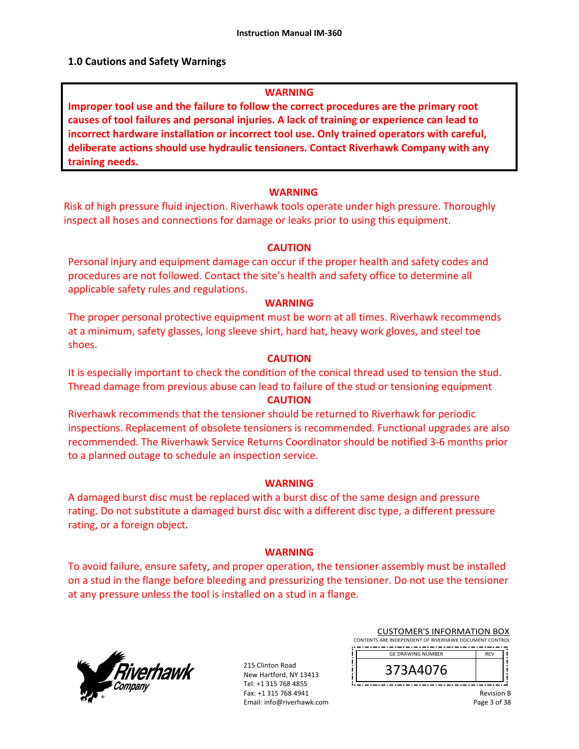#### **1.0 Cautions and Safety Warnings**

#### **WARNING**

**Improper tool use and the failure to follow the correct procedures are the primary root causes of tool failures and personal injuries. A lack of training or experience can lead to incorrect hardware installation or incorrect tool use. Only trained operators with careful, deliberate actions should use hydraulic tensioners. Contact Riverhawk Company with any training needs.** 

#### **WARNING**

Risk of high pressure fluid injection. Riverhawk tools operate under high pressure. Thoroughly inspect all hoses and connections for damage or leaks prior to using this equipment.

#### **CAUTION**

Personal injury and equipment damage can occur if the proper health and safety codes and procedures are not followed. Contact the site's health and safety office to determine all applicable safety rules and regulations.

#### **WARNING**

The proper personal protective equipment must be worn at all times. Riverhawk recommends at a minimum, safety glasses, long sleeve shirt, hard hat, heavy work gloves, and steel toe shoes.

#### **CAUTION**

It is especially important to check the condition of the conical thread used to tension the stud. Thread damage from previous abuse can lead to failure of the stud or tensioning equipment

### **CAUTION**

Riverhawk recommends that the tensioner should be returned to Riverhawk for periodic inspections. Replacement of obsolete tensioners is recommended. Functional upgrades are also recommended. The Riverhawk Service Returns Coordinator should be notified 3‐6 months prior to a planned outage to schedule an inspection service.

#### **WARNING**

A damaged burst disc must be replaced with a burst disc of the same design and pressure rating. Do not substitute a damaged burst disc with a different disc type, a different pressure rating, or a foreign object.

#### **WARNING**

To avoid failure, ensure safety, and proper operation, the tensioner assembly must be installed on a stud in the flange before bleeding and pressurizing the tensioner. Do not use the tensioner at any pressure unless the tool is installed on a stud in a flange.



|                                                        | <b>CUSTOMER'S INFORMATION BOX</b> |  |  |  |  |  |
|--------------------------------------------------------|-----------------------------------|--|--|--|--|--|
| CONTENTS ARE INDEPENDENT OF RIVERHAWK DOCUMENT CONTROL |                                   |  |  |  |  |  |
|                                                        |                                   |  |  |  |  |  |

| <b>GE DRAWING NUMBER</b> |  |
|--------------------------|--|
| 76                       |  |
|                          |  |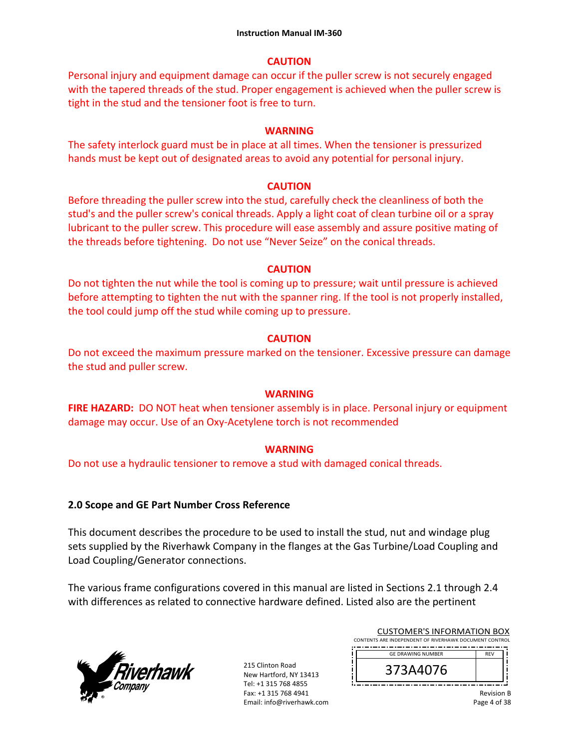### **CAUTION**

Personal injury and equipment damage can occur if the puller screw is not securely engaged with the tapered threads of the stud. Proper engagement is achieved when the puller screw is tight in the stud and the tensioner foot is free to turn.

### **WARNING**

The safety interlock guard must be in place at all times. When the tensioner is pressurized hands must be kept out of designated areas to avoid any potential for personal injury.

### **CAUTION**

Before threading the puller screw into the stud, carefully check the cleanliness of both the stud's and the puller screw's conical threads. Apply a light coat of clean turbine oil or a spray lubricant to the puller screw. This procedure will ease assembly and assure positive mating of the threads before tightening. Do not use "Never Seize" on the conical threads.

### **CAUTION**

Do not tighten the nut while the tool is coming up to pressure; wait until pressure is achieved before attempting to tighten the nut with the spanner ring. If the tool is not properly installed, the tool could jump off the stud while coming up to pressure.

### **CAUTION**

Do not exceed the maximum pressure marked on the tensioner. Excessive pressure can damage the stud and puller screw.

#### **WARNING**

**FIRE HAZARD:** DO NOT heat when tensioner assembly is in place. Personal injury or equipment damage may occur. Use of an Oxy‐Acetylene torch is not recommended

### **WARNING**

Do not use a hydraulic tensioner to remove a stud with damaged conical threads.

### **2.0 Scope and GE Part Number Cross Reference**

This document describes the procedure to be used to install the stud, nut and windage plug sets supplied by the Riverhawk Company in the flanges at the Gas Turbine/Load Coupling and Load Coupling/Generator connections.

The various frame configurations covered in this manual are listed in Sections 2.1 through 2.4 with differences as related to connective hardware defined. Listed also are the pertinent



215 Clinton Road New Hartford, NY 13413 Tel: +1 315 768 4855 Fax: +1 315 768 4941 Email: info@riverhawk.com ŗ Ţ

ļ

| <b>CUSTOMER'S INFORMATION BOX</b>                                               |  |
|---------------------------------------------------------------------------------|--|
| CONTENTS ARE INDEPENDENT OF RIVERHAWK DOCUMENT CONTROL                          |  |
| the contract of the contract of the contract of the contract of the contract of |  |

| <b>GE DRAWING NUMBER</b> |  |
|--------------------------|--|
| FU / b<br>ر              |  |
|                          |  |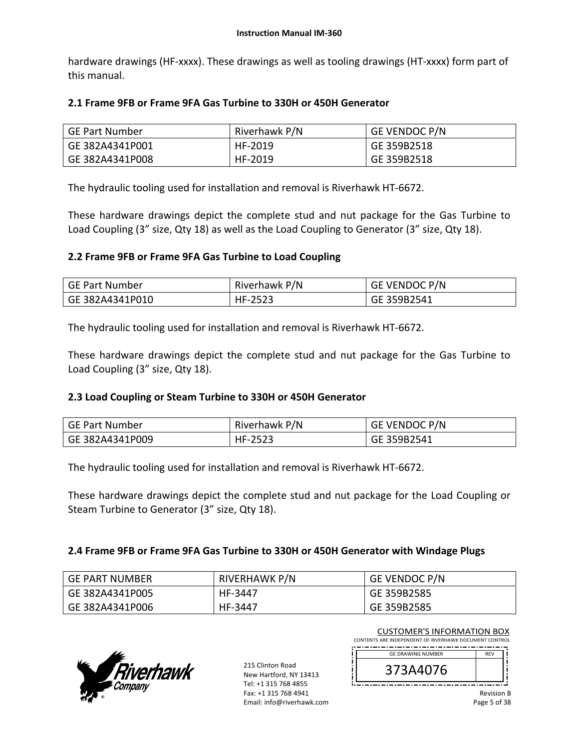hardware drawings (HF-xxxx). These drawings as well as tooling drawings (HT-xxxx) form part of this manual.

### **2.1 Frame 9FB or Frame 9FA Gas Turbine to 330H or 450H Generator**

| GE Part Number  | Riverhawk P/N | <b>GE VENDOC P/N</b> |
|-----------------|---------------|----------------------|
| GE 382A4341P001 | HF-2019       | GE 359B2518          |
| GE 382A4341P008 | HF-2019       | GE 359B2518          |

The hydraulic tooling used for installation and removal is Riverhawk HT‐6672.

These hardware drawings depict the complete stud and nut package for the Gas Turbine to Load Coupling (3" size, Qty 18) as well as the Load Coupling to Generator (3" size, Qty 18).

### **2.2 Frame 9FB or Frame 9FA Gas Turbine to Load Coupling**

| GE Part Number  | Riverhawk P/N | GE VENDOC P/N |
|-----------------|---------------|---------------|
| GE 382A4341P010 | HF-2523       | GE 359B2541   |

The hydraulic tooling used for installation and removal is Riverhawk HT‐6672.

These hardware drawings depict the complete stud and nut package for the Gas Turbine to Load Coupling (3" size, Qty 18).

#### **2.3 Load Coupling or Steam Turbine to 330H or 450H Generator**

| <b>GE Part Number</b> | Riverhawk P/N | <b>GE VENDOC P/N</b> |
|-----------------------|---------------|----------------------|
| GE 382A4341P009       | HF-2523       | GE 359B2541          |

The hydraulic tooling used for installation and removal is Riverhawk HT‐6672.

These hardware drawings depict the complete stud and nut package for the Load Coupling or Steam Turbine to Generator (3" size, Qty 18).

#### **2.4 Frame 9FB or Frame 9FA Gas Turbine to 330H or 450H Generator with Windage Plugs**

| GE PART NUMBER  | RIVERHAWK P/N | <b>GE VENDOC P/N</b> |
|-----------------|---------------|----------------------|
| GE 382A4341P005 | HF-3447       | GE 359B2585          |
| GE 382A4341P006 | HF-3447       | GE 359B2585          |



| <b>CUSTOMER'S INFORMATION BOX</b>                      |
|--------------------------------------------------------|
| CONTENTS ARE INDEPENDENT OF RIVERHAWK DOCUMENT CONTROL |
|                                                        |

| <b>GE DRAWING NUMBER</b> | <b>REV</b> |  |
|--------------------------|------------|--|
| 440/b                    |            |  |
|                          |            |  |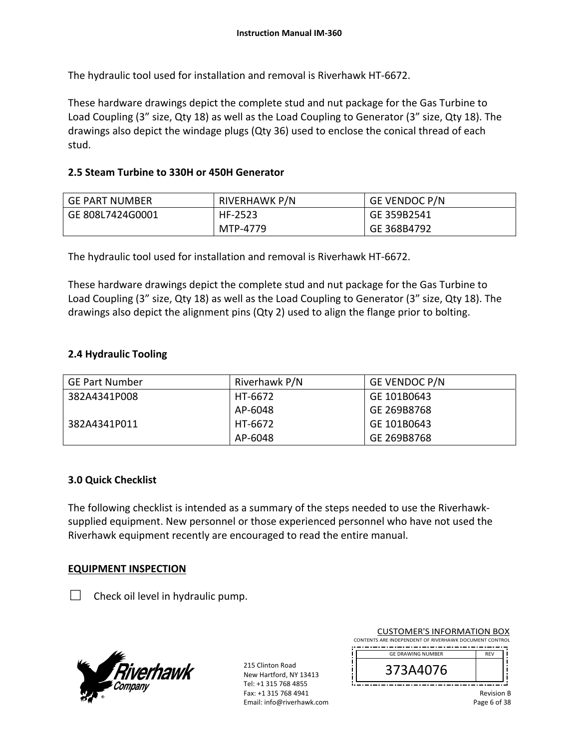The hydraulic tool used for installation and removal is Riverhawk HT‐6672.

These hardware drawings depict the complete stud and nut package for the Gas Turbine to Load Coupling (3" size, Qty 18) as well as the Load Coupling to Generator (3" size, Qty 18). The drawings also depict the windage plugs (Qty 36) used to enclose the conical thread of each stud.

### **2.5 Steam Turbine to 330H or 450H Generator**

| <b>GE PART NUMBER</b> | <b>RIVERHAWK P/N</b> | <b>GE VENDOC P/N</b> |
|-----------------------|----------------------|----------------------|
| GE 808L7424G0001      | HF-2523              | GE 359B2541          |
|                       | MTP-4779             | GE 368B4792          |

The hydraulic tool used for installation and removal is Riverhawk HT‐6672.

These hardware drawings depict the complete stud and nut package for the Gas Turbine to Load Coupling (3" size, Qty 18) as well as the Load Coupling to Generator (3" size, Qty 18). The drawings also depict the alignment pins (Qty 2) used to align the flange prior to bolting.

### **2.4 Hydraulic Tooling**

| <b>GE Part Number</b> | Riverhawk P/N | <b>GE VENDOC P/N</b> |
|-----------------------|---------------|----------------------|
| 382A4341P008          | HT-6672       | GE 101B0643          |
|                       | AP-6048       | GE 269B8768          |
| 382A4341P011          | HT-6672       | GE 101B0643          |
|                       | AP-6048       | GE 269B8768          |

#### **3.0 Quick Checklist**

The following checklist is intended as a summary of the steps needed to use the Riverhawk‐ supplied equipment. New personnel or those experienced personnel who have not used the Riverhawk equipment recently are encouraged to read the entire manual.

#### **EQUIPMENT INSPECTION**

 $\Box$  Check oil level in hydraulic pump.



215 Clinton Road New Hartford, NY 13413 Tel: +1 315 768 4855 Fax: +1 315 768 4941 Email: info@riverhawk.com ļ

| <b>CUSTOMER'S INFORMATION BOX</b>                      |
|--------------------------------------------------------|
| CONTENTS ARE INDEPENDENT OF RIVERHAWK DOCUMENT CONTROL |
|                                                        |

| <b>GE DRAWING NUMBER</b> | FV |  |
|--------------------------|----|--|
| 5A40/6<br>C              |    |  |
|                          |    |  |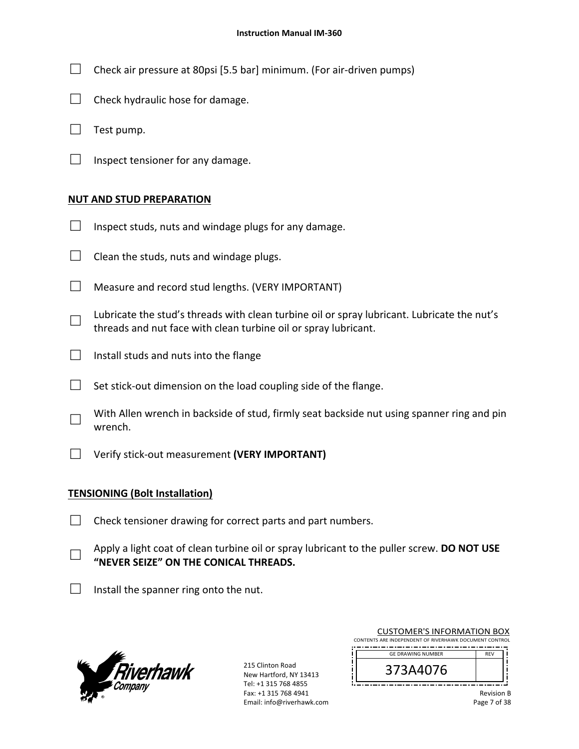- $\Box$  Check air pressure at 80psi [5.5 bar] minimum. (For air-driven pumps)
- $\Box$  Check hydraulic hose for damage.
- $\Box$  Test pump.
- $\Box$  Inspect tensioner for any damage.

#### **NUT AND STUD PREPARATION**

- $\Box$  Inspect studs, nuts and windage plugs for any damage.
- $\Box$  Clean the studs, nuts and windage plugs.
- $\Box$  Measure and record stud lengths. (VERY IMPORTANT)
- □ Lubricate the stud's threads with clean turbine oil or spray lubricant. Lubricate the nut's threads and nut face with clean turbine oil or spray lubricant.
- $\Box$  Install studs and nuts into the flange
- $\Box$  Set stick-out dimension on the load coupling side of the flange.
- □ With Allen wrench in backside of stud, firmly seat backside nut using spanner ring and pin wrench.
- □ Verify stick‐out measurement **(VERY IMPORTANT)**

#### **TENSIONING (Bolt Installation)**

- $\Box$  Check tensioner drawing for correct parts and part numbers.
- □ Apply a light coat of clean turbine oil or spray lubricant to the puller screw. **DO NOT USE "NEVER SEIZE" ON THE CONICAL THREADS.**
- $\Box$  Install the spanner ring onto the nut.



215 Clinton Road New Hartford, NY 13413 Tel: +1 315 768 4855 Fax: +1 315 768 4941 Email: info@riverhawk.com ׀ׇ֓֕֓֕֓֕֓֕֓֕<br>׀ׇׇׇׇׇׇׇׇׇ֓֓֓׀

| <b>CUSTOMER'S INFORMATION BOX</b>                      |            |  |
|--------------------------------------------------------|------------|--|
| CONTENTS ARE INDEPENDENT OF RIVERHAWK DOCUMENT CONTROL |            |  |
| <b>GE DRAWING NUMBER</b>                               | <b>RFV</b> |  |

| 3A4U/b<br>J                                |
|--------------------------------------------|
| <b>THE R. P.</b><br>--<br>--<br>. .<br>- - |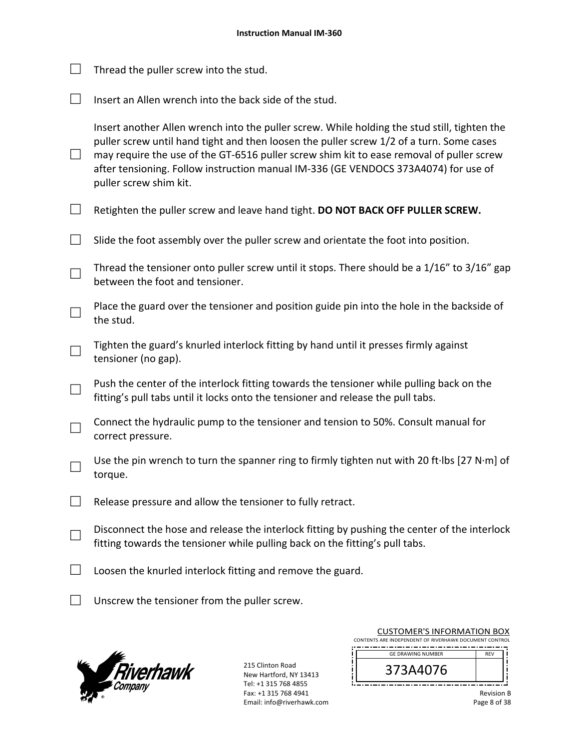CUSTOMER'S INFORMATION BOX  $\Box$  Thread the puller screw into the stud.  $\Box$  Insert an Allen wrench into the back side of the stud. □ Insert another Allen wrench into the puller screw. While holding the stud still, tighten the puller screw until hand tight and then loosen the puller screw 1/2 of a turn. Some cases may require the use of the GT-6516 puller screw shim kit to ease removal of puller screw after tensioning. Follow instruction manual IM‐336 (GE VENDOCS 373A4074) for use of puller screw shim kit. □ Retighten the puller screw and leave hand tight. **DO NOT BACK OFF PULLER SCREW.**  $\Box$  Slide the foot assembly over the puller screw and orientate the foot into position. □ Thread the tensioner onto puller screw until it stops. There should be a 1/16" to 3/16" gap between the foot and tensioner. □ Place the guard over the tensioner and position guide pin into the hole in the backside of the stud. □ Tighten the guard's knurled interlock fitting by hand until it presses firmly against tensioner (no gap). □ Push the center of the interlock fitting towards the tensioner while pulling back on the fitting's pull tabs until it locks onto the tensioner and release the pull tabs. □ Connect the hydraulic pump to the tensioner and tension to 50%. Consult manual for correct pressure. □ Use the pin wrench to turn the spanner ring to firmly tighten nut with 20 ft∙lbs [27 N∙m] of torque.  $\Box$  Release pressure and allow the tensioner to fully retract. □ Disconnect the hose and release the interlock fitting by pushing the center of the interlock fitting towards the tensioner while pulling back on the fitting's pull tabs.  $\Box$  Loosen the knurled interlock fitting and remove the guard.  $\Box$  Unscrew the tensioner from the puller screw.



| CONTENTS ARE INDEPENDENT OF RIVERHAWK DOCUMENT CONTROL |            |  |
|--------------------------------------------------------|------------|--|
| <b>GE DRAWING NUMBER</b>                               | <b>RFV</b> |  |
|                                                        |            |  |

|              | <b>Revision B</b> |
|--------------|-------------------|
| Page 8 of 38 |                   |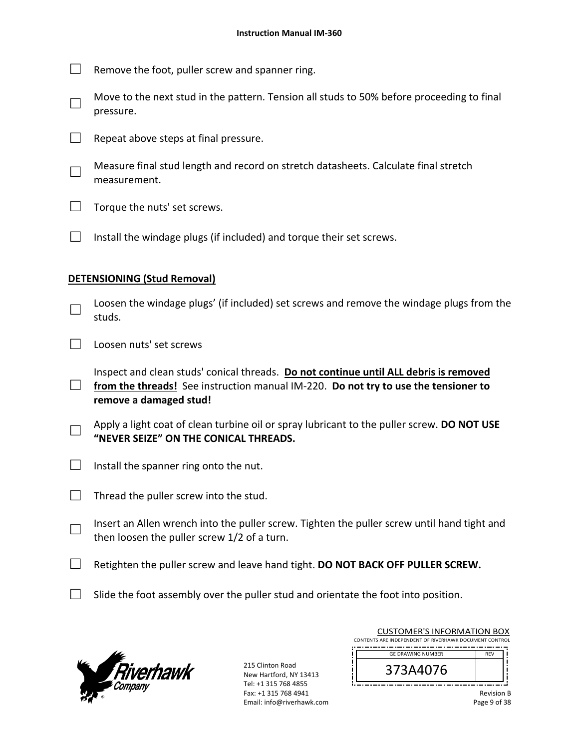- $\Box$  Remove the foot, puller screw and spanner ring.
- □ Move to the next stud in the pattern. Tension all studs to 50% before proceeding to final pressure.
- $\Box$  Repeat above steps at final pressure.
- □ Measure final stud length and record on stretch datasheets. Calculate final stretch measurement.
- $\Box$  Torque the nuts' set screws.
- $\Box$  Install the windage plugs (if included) and torque their set screws.

#### **DETENSIONING (Stud Removal)**

- □ Loosen the windage plugs' (if included) set screws and remove the windage plugs from the studs.
- $\Box$  Loosen nuts' set screws
- □ from the threads! See instruction manual IM-220. **Do not try to use the tensioner to** Inspect and clean studs' conical threads. **Do not continue until ALL debris is removed remove a damaged stud!**
- □ Apply a light coat of clean turbine oil or spray lubricant to the puller screw. **DO NOT USE "NEVER SEIZE" ON THE CONICAL THREADS.**
- $\Box$  Install the spanner ring onto the nut.
- $\Box$  Thread the puller screw into the stud.
- □ Insert an Allen wrench into the puller screw. Tighten the puller screw until hand tight and then loosen the puller screw 1/2 of a turn.
- □ Retighten the puller screw and leave hand tight. **DO NOT BACK OFF PULLER SCREW.**
- $\Box$  Slide the foot assembly over the puller stud and orientate the foot into position.



215 Clinton Road New Hartford, NY 13413 Tel: +1 315 768 4855 Fax: +1 315 768 4941 Email: info@riverhawk.com

| CUSTOMER'S INFORMATION BOX                             |  |  |  |  |
|--------------------------------------------------------|--|--|--|--|
| CONTENTS ARE INDEPENDENT OF RIVERHAWK DOCUMENT CONTROL |  |  |  |  |
|                                                        |  |  |  |  |
| <b>GE DRAWING NUMBER</b>                               |  |  |  |  |
|                                                        |  |  |  |  |

CUSTOMER'S INFORMATION BOX

| ' / O<br>ت                                                      |  |
|-----------------------------------------------------------------|--|
| . .<br>- - -<br>.<br>- -<br>. .<br>--<br>.<br>--<br>.<br>۰<br>۰ |  |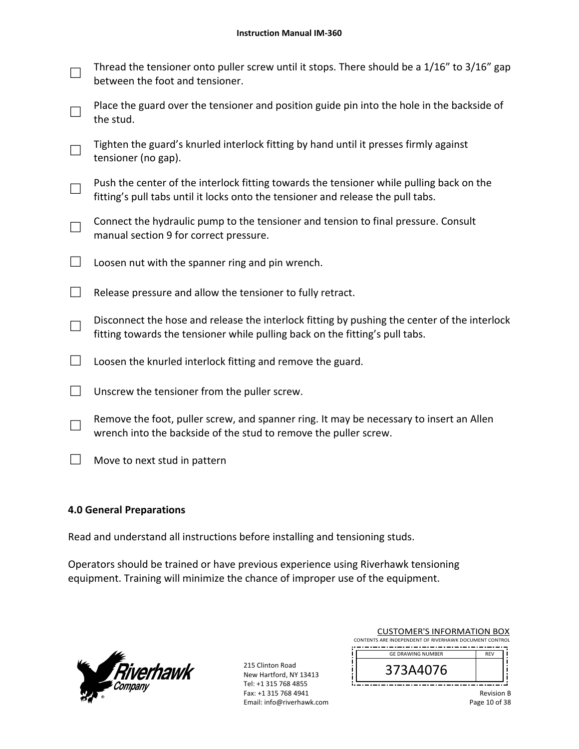- □ Thread the tensioner onto puller screw until it stops. There should be a 1/16" to 3/16" gap between the foot and tensioner.
- □ Place the guard over the tensioner and position guide pin into the hole in the backside of the stud.
- □ Tighten the guard's knurled interlock fitting by hand until it presses firmly against tensioner (no gap).
- □ Push the center of the interlock fitting towards the tensioner while pulling back on the fitting's pull tabs until it locks onto the tensioner and release the pull tabs.
- □ Connect the hydraulic pump to the tensioner and tension to final pressure. Consult manual section 9 for correct pressure.
- $\Box$  Loosen nut with the spanner ring and pin wrench.
- $\Box$  Release pressure and allow the tensioner to fully retract.
- □ Disconnect the hose and release the interlock fitting by pushing the center of the interlock fitting towards the tensioner while pulling back on the fitting's pull tabs.
- $\Box$  Loosen the knurled interlock fitting and remove the guard.
- $\Box$  Unscrew the tensioner from the puller screw.
- □ Remove the foot, puller screw, and spanner ring. It may be necessary to insert an Allen wrench into the backside of the stud to remove the puller screw.
- $\Box$  Move to next stud in pattern

### **4.0 General Preparations**

Read and understand all instructions before installing and tensioning studs.

Operators should be trained or have previous experience using Riverhawk tensioning equipment. Training will minimize the chance of improper use of the equipment.



215 Clinton Road New Hartford, NY 13413 Tel: +1 315 768 4855 Fax: +1 315 768 4941 Email: info@riverhawk.com ļ

| CUSTOMER'S INFORMATION BOX                             |  |  |
|--------------------------------------------------------|--|--|
| CONTENTS ARE INDEPENDENT OF RIVERHAWK DOCUMENT CONTROL |  |  |
|                                                        |  |  |
| <b>GE DRAWING NUMBER</b>                               |  |  |

Customer's Information Box 1999

| <b>UL DIVAWING NONIDER</b>                        |  |
|---------------------------------------------------|--|
| 9/UPH<br>J                                        |  |
| . .<br>--<br>--<br>- -<br>. .<br>--<br>. .<br>. . |  |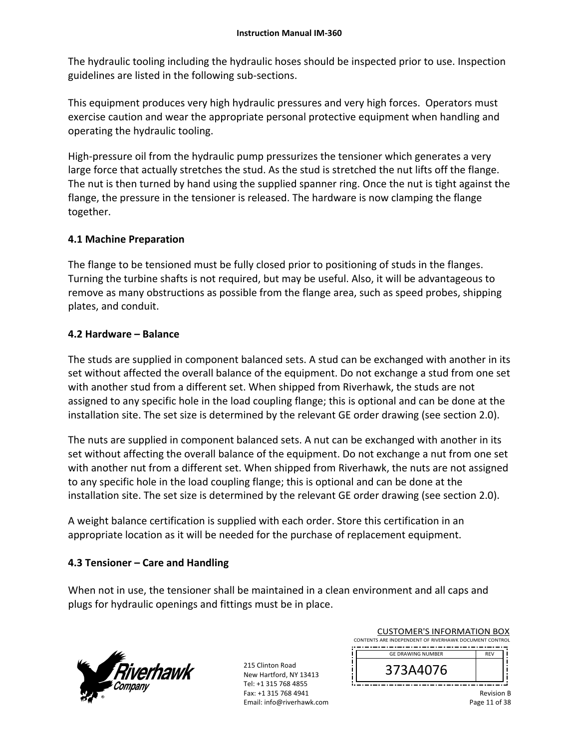The hydraulic tooling including the hydraulic hoses should be inspected prior to use. Inspection guidelines are listed in the following sub‐sections.

This equipment produces very high hydraulic pressures and very high forces. Operators must exercise caution and wear the appropriate personal protective equipment when handling and operating the hydraulic tooling.

High-pressure oil from the hydraulic pump pressurizes the tensioner which generates a very large force that actually stretches the stud. As the stud is stretched the nut lifts off the flange. The nut is then turned by hand using the supplied spanner ring. Once the nut is tight against the flange, the pressure in the tensioner is released. The hardware is now clamping the flange together.

### **4.1 Machine Preparation**

The flange to be tensioned must be fully closed prior to positioning of studs in the flanges. Turning the turbine shafts is not required, but may be useful. Also, it will be advantageous to remove as many obstructions as possible from the flange area, such as speed probes, shipping plates, and conduit.

#### **4.2 Hardware – Balance**

The studs are supplied in component balanced sets. A stud can be exchanged with another in its set without affected the overall balance of the equipment. Do not exchange a stud from one set with another stud from a different set. When shipped from Riverhawk, the studs are not assigned to any specific hole in the load coupling flange; this is optional and can be done at the installation site. The set size is determined by the relevant GE order drawing (see section 2.0).

The nuts are supplied in component balanced sets. A nut can be exchanged with another in its set without affecting the overall balance of the equipment. Do not exchange a nut from one set with another nut from a different set. When shipped from Riverhawk, the nuts are not assigned to any specific hole in the load coupling flange; this is optional and can be done at the installation site. The set size is determined by the relevant GE order drawing (see section 2.0).

A weight balance certification is supplied with each order. Store this certification in an appropriate location as it will be needed for the purchase of replacement equipment.

### **4.3 Tensioner – Care and Handling**

When not in use, the tensioner shall be maintained in a clean environment and all caps and plugs for hydraulic openings and fittings must be in place.



215 Clinton Road New Hartford, NY 13413 Tel: +1 315 768 4855 Fax: +1 315 768 4941 Email: info@riverhawk.com  $\ddot{\cdot}$ 

|                                                        |  |  |  | <b>CUSTOMER'S INFORMATION BOX</b> |  |  |
|--------------------------------------------------------|--|--|--|-----------------------------------|--|--|
| CONTENTS ARE INDEPENDENT OF RIVERHAWK DOCUMENT CONTROL |  |  |  |                                   |  |  |
|                                                        |  |  |  |                                   |  |  |

| <b>GE DRAWING NUMBER</b> |  |
|--------------------------|--|
| 3A4U/b<br>э              |  |
|                          |  |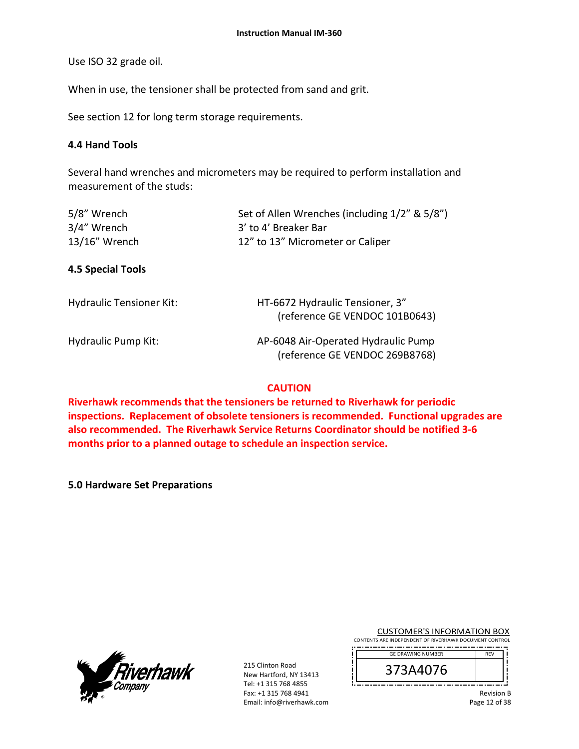Use ISO 32 grade oil.

When in use, the tensioner shall be protected from sand and grit.

See section 12 for long term storage requirements.

#### **4.4 Hand Tools**

Several hand wrenches and micrometers may be required to perform installation and measurement of the studs:

| 5/8" Wrench<br>3/4" Wrench<br>13/16" Wrench | Set of Allen Wrenches (including 1/2" & 5/8")<br>3' to 4' Breaker Bar<br>12" to 13" Micrometer or Caliper |
|---------------------------------------------|-----------------------------------------------------------------------------------------------------------|
| 4.5 Special Tools                           |                                                                                                           |
| <b>Hydraulic Tensioner Kit:</b>             | HT-6672 Hydraulic Tensioner, 3"<br>(reference GE VENDOC 101B0643)                                         |
| <b>Hydraulic Pump Kit:</b>                  | AP-6048 Air-Operated Hydraulic Pump<br>(reference GE VENDOC 269B8768)                                     |

### **CAUTION**

**Riverhawk recommends that the tensioners be returned to Riverhawk for periodic inspections. Replacement of obsolete tensioners is recommended. Functional upgrades are also recommended. The Riverhawk Service Returns Coordinator should be notified 3‐6 months prior to a planned outage to schedule an inspection service.** 

**5.0 Hardware Set Preparations**



215 Clinton Road New Hartford, NY 13413 Tel: +1 315 768 4855 Fax: +1 315 768 4941 Email: info@riverhawk.com Ţ ļ ΪI

CUSTOMER'S INFORMATION BOX CONTENTS ARE INDEPENDENT OF RIVERHAWK DOCUMENT CONTROL

| <b>GE DRAWING NUMBER</b> | <b>REV</b> |
|--------------------------|------------|
| n<br>J.                  |            |
|                          |            |

Revision B Page 12 of 38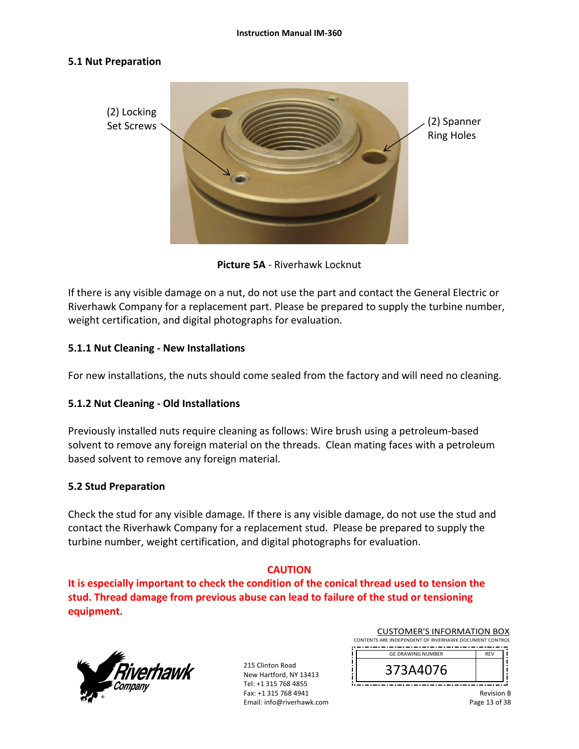#### **5.1 Nut Preparation**



**Picture 5A** ‐ Riverhawk Locknut

If there is any visible damage on a nut, do not use the part and contact the General Electric or Riverhawk Company for a replacement part. Please be prepared to supply the turbine number, weight certification, and digital photographs for evaluation.

### **5.1.1 Nut Cleaning ‐ New Installations**

For new installations, the nuts should come sealed from the factory and will need no cleaning.

#### **5.1.2 Nut Cleaning ‐ Old Installations**

Previously installed nuts require cleaning as follows: Wire brush using a petroleum‐based solvent to remove any foreign material on the threads. Clean mating faces with a petroleum based solvent to remove any foreign material.

#### **5.2 Stud Preparation**

Check the stud for any visible damage. If there is any visible damage, do not use the stud and contact the Riverhawk Company for a replacement stud. Please be prepared to supply the turbine number, weight certification, and digital photographs for evaluation.

#### **CAUTION**

**It is especially important to check the condition of the conical thread used to tension the stud. Thread damage from previous abuse can lead to failure of the stud or tensioning equipment.**



215 Clinton Road New Hartford, NY 13413 Tel: +1 315 768 4855 Fax: +1 315 768 4941 Email: info@riverhawk.com  $\begin{array}{c} \begin{array}{c} \cdot \\ \cdot \\ \cdot \end{array} \end{array}$ 

|                                                        | <b>CUSTOMER'S INFORMATION BOX</b> |  |  |        |  |
|--------------------------------------------------------|-----------------------------------|--|--|--------|--|
| CONTENTS ARE INDEPENDENT OF RIVERHAWK DOCUMENT CONTROL |                                   |  |  |        |  |
|                                                        |                                   |  |  | ______ |  |

| <b>GE DRAWING NUMBER</b> | <b>REV</b> |
|--------------------------|------------|
| 40/6                     |            |
|                          |            |

Revision B Page 13 of 38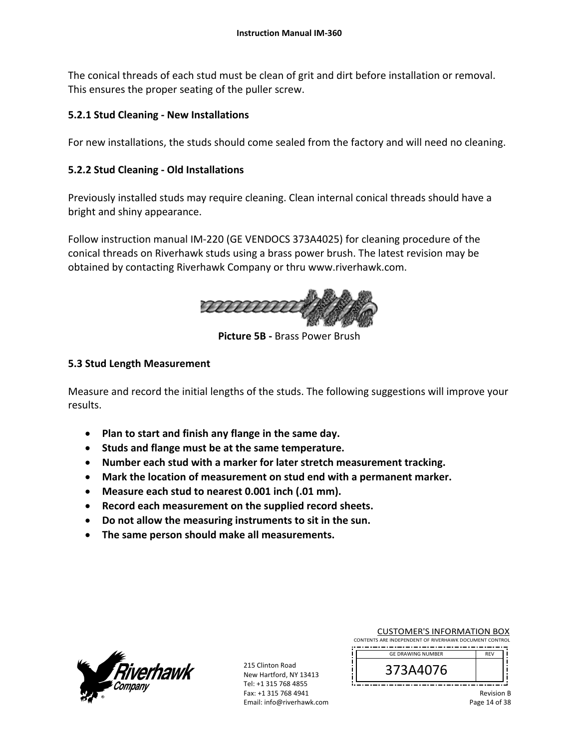The conical threads of each stud must be clean of grit and dirt before installation or removal. This ensures the proper seating of the puller screw.

# **5.2.1 Stud Cleaning ‐ New Installations**

For new installations, the studs should come sealed from the factory and will need no cleaning.

## **5.2.2 Stud Cleaning ‐ Old Installations**

Previously installed studs may require cleaning. Clean internal conical threads should have a bright and shiny appearance.

Follow instruction manual IM‐220 (GE VENDOCS 373A4025) for cleaning procedure of the conical threads on Riverhawk studs using a brass power brush. The latest revision may be obtained by contacting Riverhawk Company or thru www.riverhawk.com.



**Picture 5B ‐** Brass Power Brush

### **5.3 Stud Length Measurement**

Measure and record the initial lengths of the studs. The following suggestions will improve your results.

- **Plan to start and finish any flange in the same day.**
- **Studs and flange must be at the same temperature.**
- **Number each stud with a marker for later stretch measurement tracking.**
- **Mark the location of measurement on stud end with a permanent marker.**
- **Measure each stud to nearest 0.001 inch (.01 mm).**
- **Record each measurement on the supplied record sheets.**
- **Do not allow the measuring instruments to sit in the sun.**
- **The same person should make all measurements.**



215 Clinton Road New Hartford, NY 13413 Tel: +1 315 768 4855 Fax: +1 315 768 4941 Email: info@riverhawk.com Ţ

| <b>CUSTOMER'S INFORMATION BOX</b>                      |
|--------------------------------------------------------|
| CONTENTS ARE INDEPENDENT OF RIVERHAWK DOCUMENT CONTROL |
|                                                        |

| <b>GE DRAWING NUMBER</b> | EV. |  |
|--------------------------|-----|--|
| 76                       |     |  |
|                          |     |  |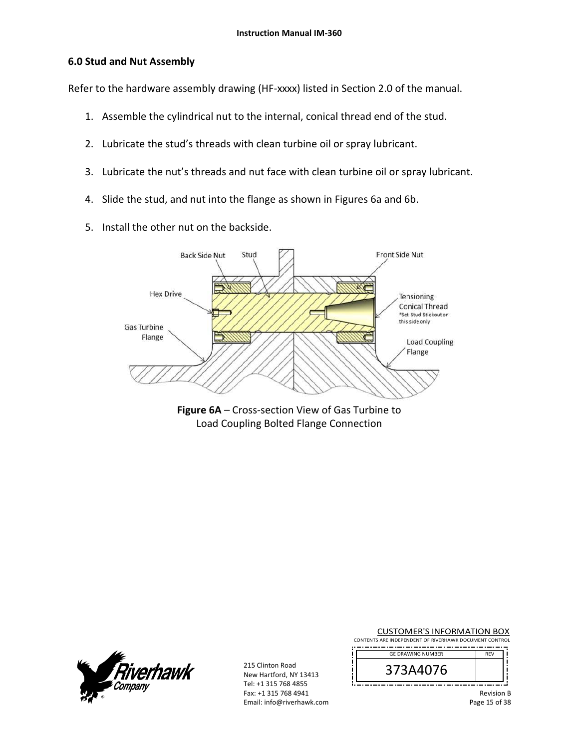### **6.0 Stud and Nut Assembly**

Refer to the hardware assembly drawing (HF‐xxxx) listed in Section 2.0 of the manual.

- 1. Assemble the cylindrical nut to the internal, conical thread end of the stud.
- 2. Lubricate the stud's threads with clean turbine oil or spray lubricant.
- 3. Lubricate the nut's threads and nut face with clean turbine oil or spray lubricant.
- 4. Slide the stud, and nut into the flange as shown in Figures 6a and 6b.
- 5. Install the other nut on the backside.



**Figure 6A** – Cross‐section View of Gas Turbine to Load Coupling Bolted Flange Connection



215 Clinton Road New Hartford, NY 13413 Tel: +1 315 768 4855 Fax: +1 315 768 4941 Email: info@riverhawk.com

j Ţ

‼

CUSTOMER'S INFORMATION BOX CONTENTS ARE INDEPENDENT OF RIVERHAWK DOCUMENT CONTROL

| <b>GE DRAWING NUMBER</b> | REV |  |
|--------------------------|-----|--|
| ,76                      |     |  |
|                          |     |  |

Revision B Page 15 of 38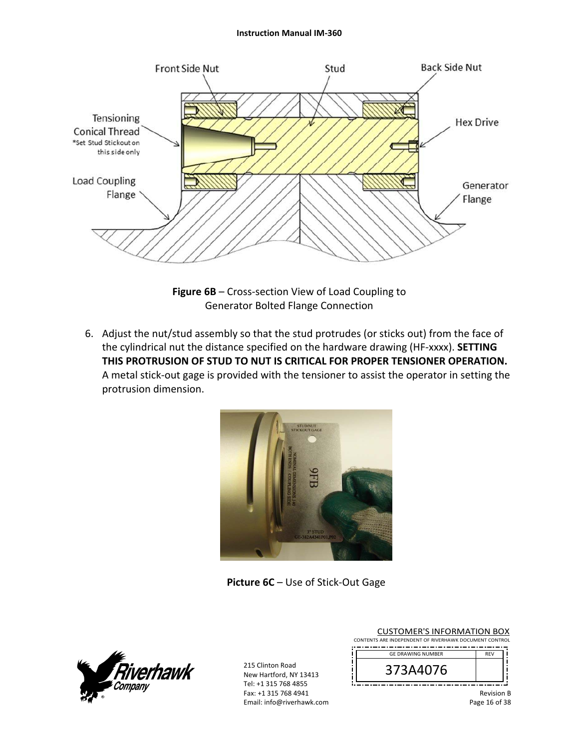#### **Instruction Manual IM‐360**



**Figure 6B** – Cross‐section View of Load Coupling to Generator Bolted Flange Connection

6. Adjust the nut/stud assembly so that the stud protrudes (or sticks out) from the face of the cylindrical nut the distance specified on the hardware drawing (HF‐xxxx). **SETTING THIS PROTRUSION OF STUD TO NUT IS CRITICAL FOR PROPER TENSIONER OPERATION.** A metal stick‐out gage is provided with the tensioner to assist the operator in setting the protrusion dimension.



**Picture 6C** – Use of Stick‐Out Gage



|                                                        |  |  |  | <b>CUSTOMER'S INFORMATION BOX</b>                                                                                   |  |  |
|--------------------------------------------------------|--|--|--|---------------------------------------------------------------------------------------------------------------------|--|--|
| CONTENTS ARE INDEPENDENT OF RIVERHAWK DOCUMENT CONTROL |  |  |  |                                                                                                                     |  |  |
|                                                        |  |  |  | and the contract of the contract of the contract of the contract of the contract of the contract of the contract of |  |  |

| <b>GE DRAWING NUMBER</b> |  |
|--------------------------|--|
| u76                      |  |
|                          |  |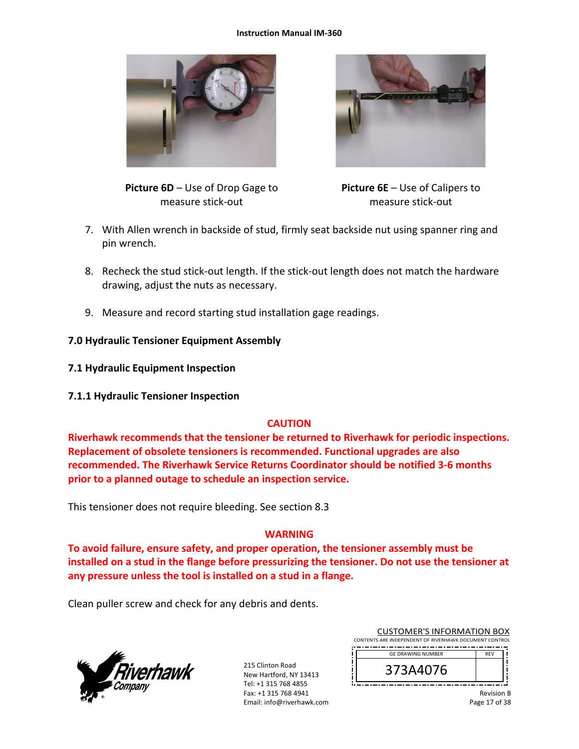#### **Instruction Manual IM‐360**





**Picture 6D** – Use of Drop Gage to measure stick‐out

**Picture 6E** – Use of Calipers to measure stick‐out

- 7. With Allen wrench in backside of stud, firmly seat backside nut using spanner ring and pin wrench.
- 8. Recheck the stud stick-out length. If the stick-out length does not match the hardware drawing, adjust the nuts as necessary.
- 9. Measure and record starting stud installation gage readings.
- **7.0 Hydraulic Tensioner Equipment Assembly**
- **7.1 Hydraulic Equipment Inspection**
- **7.1.1 Hydraulic Tensioner Inspection**

#### **CAUTION**

**Riverhawk recommends that the tensioner be returned to Riverhawk for periodic inspections. Replacement of obsolete tensioners is recommended. Functional upgrades are also recommended. The Riverhawk Service Returns Coordinator should be notified 3‐6 months prior to a planned outage to schedule an inspection service.** 

This tensioner does not require bleeding. See section 8.3

#### **WARNING**

**To avoid failure, ensure safety, and proper operation, the tensioner assembly must be installed on a stud in the flange before pressurizing the tensioner. Do not use the tensioner at any pressure unless the tool is installed on a stud in a flange.** 

Clean puller screw and check for any debris and dents.



| <b>CUSTOMER'S INFORMATION BOX</b>                      |            |  |  |  |  |
|--------------------------------------------------------|------------|--|--|--|--|
| CONTENTS ARE INDEPENDENT OF RIVERHAWK DOCUMENT CONTROL |            |  |  |  |  |
| <b>GE DRAWING NUMBER</b>                               | <b>RFV</b> |  |  |  |  |
| 373A4076                                               |            |  |  |  |  |

| <b>GE DRAWING NUMBER</b> |  |
|--------------------------|--|
| u z p                    |  |
|                          |  |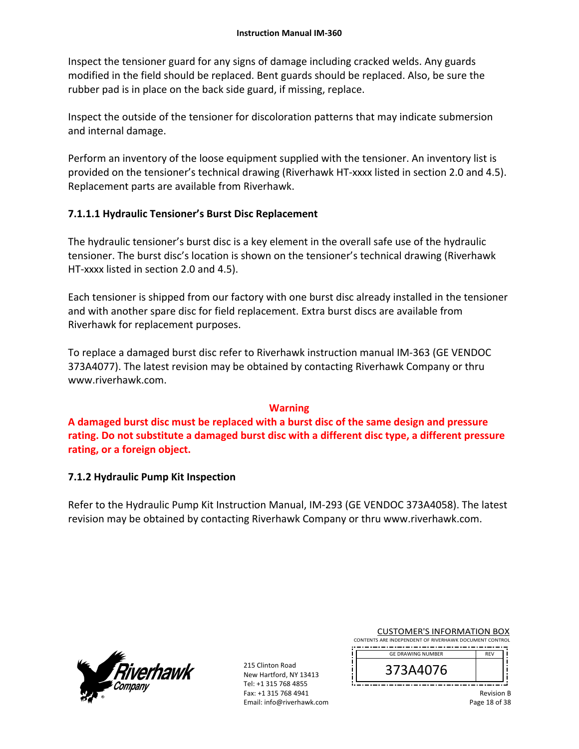Inspect the tensioner guard for any signs of damage including cracked welds. Any guards modified in the field should be replaced. Bent guards should be replaced. Also, be sure the rubber pad is in place on the back side guard, if missing, replace.

Inspect the outside of the tensioner for discoloration patterns that may indicate submersion and internal damage.

Perform an inventory of the loose equipment supplied with the tensioner. An inventory list is provided on the tensioner's technical drawing (Riverhawk HT‐xxxx listed in section 2.0 and 4.5). Replacement parts are available from Riverhawk.

### **7.1.1.1 Hydraulic Tensioner's Burst Disc Replacement**

The hydraulic tensioner's burst disc is a key element in the overall safe use of the hydraulic tensioner. The burst disc's location is shown on the tensioner's technical drawing (Riverhawk HT‐xxxx listed in section 2.0 and 4.5).

Each tensioner is shipped from our factory with one burst disc already installed in the tensioner and with another spare disc for field replacement. Extra burst discs are available from Riverhawk for replacement purposes.

To replace a damaged burst disc refer to Riverhawk instruction manual IM‐363 (GE VENDOC 373A4077). The latest revision may be obtained by contacting Riverhawk Company or thru www.riverhawk.com.

#### **Warning**

**A damaged burst disc must be replaced with a burst disc of the same design and pressure rating. Do not substitute a damaged burst disc with a different disc type, a different pressure rating, or a foreign object.**

#### **7.1.2 Hydraulic Pump Kit Inspection**

Refer to the Hydraulic Pump Kit Instruction Manual, IM‐293 (GE VENDOC 373A4058). The latest revision may be obtained by contacting Riverhawk Company or thru www.riverhawk.com.



215 Clinton Road New Hartford, NY 13413 Tel: +1 315 768 4855 Fax: +1 315 768 4941 Email: info@riverhawk.com

CUSTOMER'S INFORMATION BOX CONTENTS ARE INDEPENDENT OF RIVERHAWK DOCUMENT CONTROL ------------------------------------

| <b>GE DRAWING NUMBER</b> | רו |  |
|--------------------------|----|--|
| 40/6                     |    |  |
|                          |    |  |

Revision B Page 18 of 38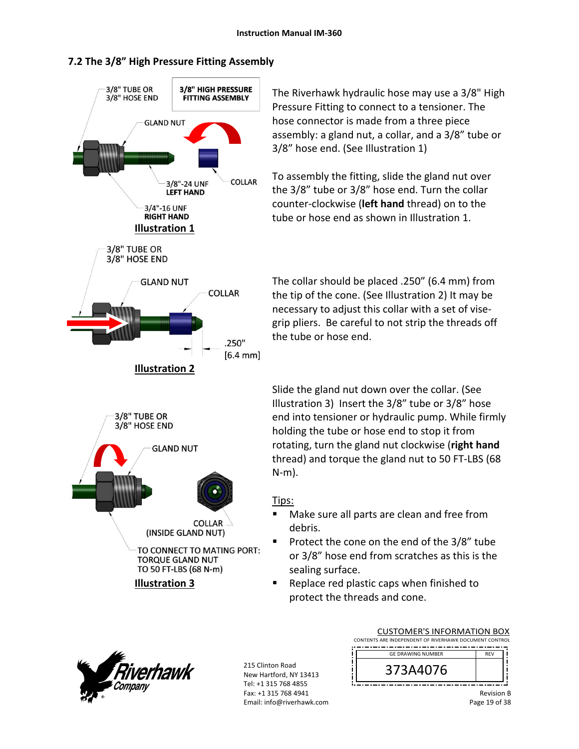### **7.2 The 3/8" High Pressure Fitting Assembly**



The Riverhawk hydraulic hose may use a 3/8" High Pressure Fitting to connect to a tensioner. The hose connector is made from a three piece assembly: a gland nut, a collar, and a 3/8" tube or 3/8" hose end. (See Illustration 1)

To assembly the fitting, slide the gland nut over the 3/8" tube or 3/8" hose end. Turn the collar counter‐clockwise (**left hand** thread) on to the tube or hose end as shown in Illustration 1.

The collar should be placed .250" (6.4 mm) from the tip of the cone. (See Illustration 2) It may be necessary to adjust this collar with a set of vise‐ grip pliers. Be careful to not strip the threads off the tube or hose end.

Slide the gland nut down over the collar. (See Illustration 3) Insert the 3/8" tube or 3/8" hose end into tensioner or hydraulic pump. While firmly holding the tube or hose end to stop it from rotating, turn the gland nut clockwise (**right hand** thread) and torque the gland nut to 50 FT‐LBS (68 N‐m).

#### Tips:

- **Make sure all parts are clean and free from** debris.
- Protect the cone on the end of the 3/8" tube or 3/8" hose end from scratches as this is the sealing surface.
- Replace red plastic caps when finished to protect the threads and cone.



215 Clinton Road New Hartford, NY 13413 Tel: +1 315 768 4855 Fax: +1 315 768 4941 Email: info@riverhawk.com

| CONTENTS ARE INDEPENDENT OF RIVERHAWK DOCUMENT CONTROL |            |  |  |  |
|--------------------------------------------------------|------------|--|--|--|
| <b>GE DRAWING NUMBER</b>                               | <b>RFV</b> |  |  |  |
| 373A4076                                               |            |  |  |  |

CUSTOMER'S INFORMATION BOX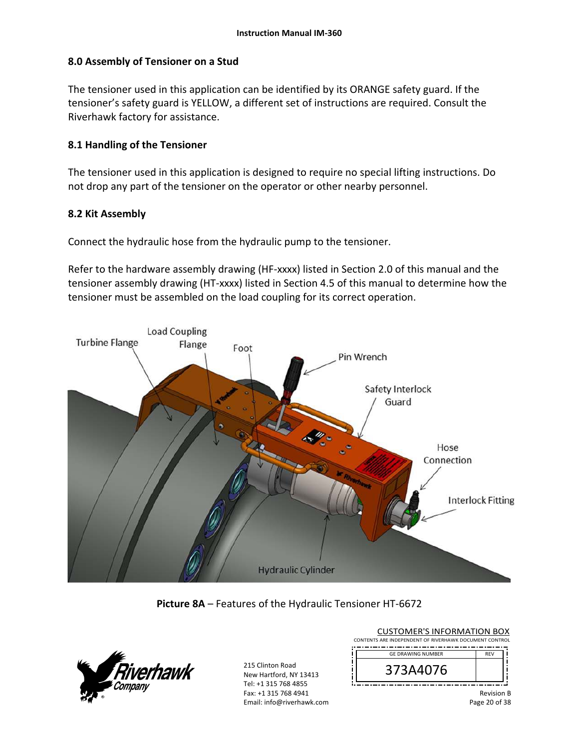### **8.0 Assembly of Tensioner on a Stud**

The tensioner used in this application can be identified by its ORANGE safety guard. If the tensioner's safety guard is YELLOW, a different set of instructions are required. Consult the Riverhawk factory for assistance.

### **8.1 Handling of the Tensioner**

The tensioner used in this application is designed to require no special lifting instructions. Do not drop any part of the tensioner on the operator or other nearby personnel.

#### **8.2 Kit Assembly**

Connect the hydraulic hose from the hydraulic pump to the tensioner.

Refer to the hardware assembly drawing (HF-xxxx) listed in Section 2.0 of this manual and the tensioner assembly drawing (HT‐xxxx) listed in Section 4.5 of this manual to determine how the tensioner must be assembled on the load coupling for its correct operation.



### **Picture 8A** – Features of the Hydraulic Tensioner HT‐6672



215 Clinton Road New Hartford, NY 13413 Tel: +1 315 768 4855 Fax: +1 315 768 4941 Email: info@riverhawk.com  $\mathbf{I}$ 

 $\mathbf{I}$ 

| <b>CUSTOMER'S INFORMATION BOX</b>                      |            |  |
|--------------------------------------------------------|------------|--|
| CONTENTS ARE INDEPENDENT OF RIVERHAWK DOCUMENT CONTROL |            |  |
| <b>GE DRAWING NUMBER</b>                               | <b>REV</b> |  |

| <b>UL DIVAWING NONIDER</b> | $\cdots$ |  |
|----------------------------|----------|--|
| <b>JH4U/D</b>              |          |  |
| --                         |          |  |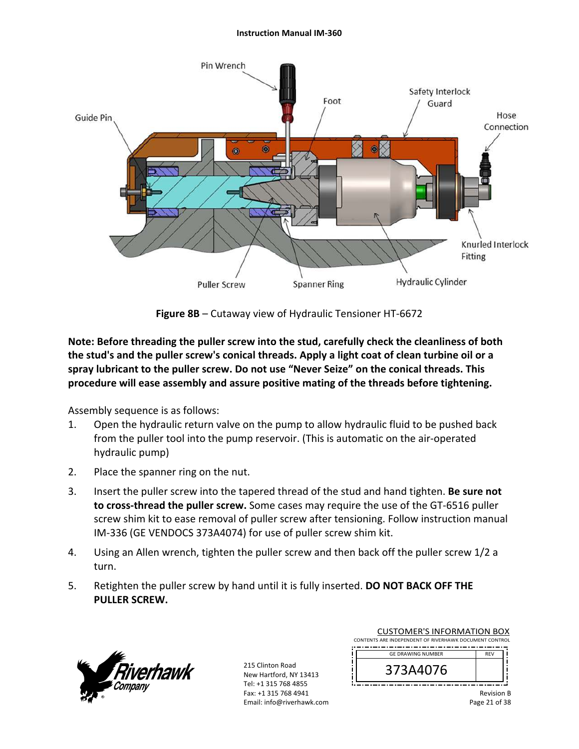#### **Instruction Manual IM‐360**



**Figure 8B** – Cutaway view of Hydraulic Tensioner HT‐6672

**Note: Before threading the puller screw into the stud, carefully check the cleanliness of both the stud's and the puller screw's conical threads. Apply a light coat of clean turbine oil or a spray lubricant to the puller screw. Do not use "Never Seize" on the conical threads. This procedure will ease assembly and assure positive mating of the threads before tightening.** 

Assembly sequence is as follows:

- 1. Open the hydraulic return valve on the pump to allow hydraulic fluid to be pushed back from the puller tool into the pump reservoir. (This is automatic on the air‐operated hydraulic pump)
- 2. Place the spanner ring on the nut.
- 3. Insert the puller screw into the tapered thread of the stud and hand tighten. **Be sure not to cross‐thread the puller screw.** Some cases may require the use of the GT‐6516 puller screw shim kit to ease removal of puller screw after tensioning. Follow instruction manual IM‐336 (GE VENDOCS 373A4074) for use of puller screw shim kit.
- 4. Using an Allen wrench, tighten the puller screw and then back off the puller screw 1/2 a turn.
- 5. Retighten the puller screw by hand until it is fully inserted. **DO NOT BACK OFF THE PULLER SCREW.**



| <b>CUSTOMER'S INFORMATION BOX</b>                      |            |  |
|--------------------------------------------------------|------------|--|
| CONTENTS ARE INDEPENDENT OF RIVERHAWK DOCUMENT CONTROL |            |  |
| <b>GE DRAWING NUMBER</b>                               | <b>RFV</b> |  |
|                                                        |            |  |

| $U$ $U$ $U$ $\rightarrow$ $V$ $\rightarrow$ $V$ $\rightarrow$ $V$ $\rightarrow$ $V$ $\rightarrow$ $V$ |  |
|-------------------------------------------------------------------------------------------------------|--|
| <b>14076</b>                                                                                          |  |
| . .<br>--<br>--<br>--<br>- -<br>--<br>.                                                               |  |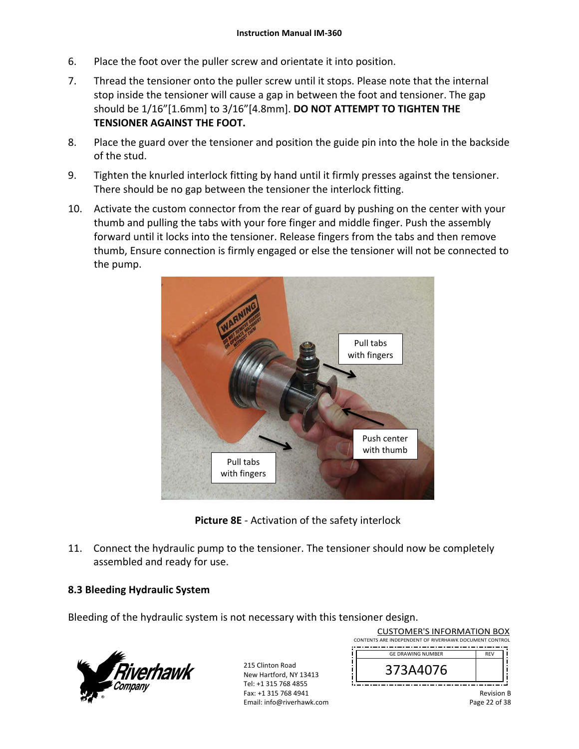- 6. Place the foot over the puller screw and orientate it into position.
- 7. Thread the tensioner onto the puller screw until it stops. Please note that the internal stop inside the tensioner will cause a gap in between the foot and tensioner. The gap should be 1/16"[1.6mm] to 3/16"[4.8mm]. **DO NOT ATTEMPT TO TIGHTEN THE TENSIONER AGAINST THE FOOT.**
- 8. Place the guard over the tensioner and position the guide pin into the hole in the backside of the stud.
- 9. Tighten the knurled interlock fitting by hand until it firmly presses against the tensioner. There should be no gap between the tensioner the interlock fitting.
- 10. Activate the custom connector from the rear of guard by pushing on the center with your thumb and pulling the tabs with your fore finger and middle finger. Push the assembly forward until it locks into the tensioner. Release fingers from the tabs and then remove thumb, Ensure connection is firmly engaged or else the tensioner will not be connected to the pump.



**Picture 8E** ‐ Activation of the safety interlock

11. Connect the hydraulic pump to the tensioner. The tensioner should now be completely assembled and ready for use.

### **8.3 Bleeding Hydraulic System**

Bleeding of the hydraulic system is not necessary with this tensioner design.



215 Clinton Road New Hartford, NY 13413 Tel: +1 315 768 4855 Fax: +1 315 768 4941 Email: info@riverhawk.com

| CONTENTS ARE INDEPENDENT OF RIVERHAWK DOCUMENT CONTROL |            |  |  |  |
|--------------------------------------------------------|------------|--|--|--|
| <b>GE DRAWING NUMBER</b>                               | <b>RFV</b> |  |  |  |
| 3A4076                                                 |            |  |  |  |

CUSTOMER'S INFORMATION BOX

Revision B Page 22 of 38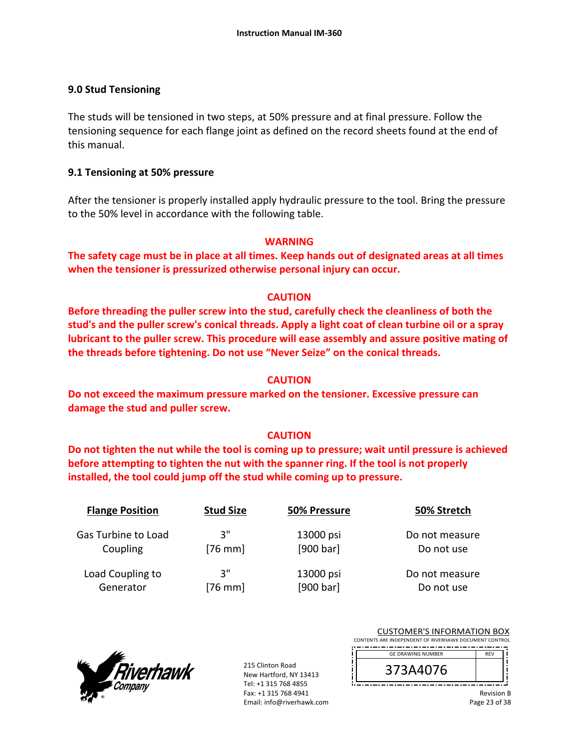### **9.0 Stud Tensioning**

The studs will be tensioned in two steps, at 50% pressure and at final pressure. Follow the tensioning sequence for each flange joint as defined on the record sheets found at the end of this manual.

### **9.1 Tensioning at 50% pressure**

After the tensioner is properly installed apply hydraulic pressure to the tool. Bring the pressure to the 50% level in accordance with the following table.

#### **WARNING**

**The safety cage must be in place at all times. Keep hands out of designated areas at all times when the tensioner is pressurized otherwise personal injury can occur.** 

### **CAUTION**

**Before threading the puller screw into the stud, carefully check the cleanliness of both the stud's and the puller screw's conical threads. Apply a light coat of clean turbine oil or a spray lubricant to the puller screw. This procedure will ease assembly and assure positive mating of the threads before tightening. Do not use "Never Seize" on the conical threads.** 

#### **CAUTION**

**Do not exceed the maximum pressure marked on the tensioner. Excessive pressure can damage the stud and puller screw.** 

#### **CAUTION**

**Do not tighten the nut while the tool is coming up to pressure; wait until pressure is achieved before attempting to tighten the nut with the spanner ring. If the tool is not properly installed, the tool could jump off the stud while coming up to pressure.** 

| <b>Flange Position</b> | <b>Stud Size</b> | 50% Pressure | 50% Stretch    |
|------------------------|------------------|--------------|----------------|
| Gas Turbine to Load    | 3"               | 13000 psi    | Do not measure |
| Coupling               | $[76$ mm]        | [900 bar]    | Do not use     |
| Load Coupling to       | 3"               | 13000 psi    | Do not measure |
| Generator              | $[76$ mm]        | [900 bar]    | Do not use     |



215 Clinton Road New Hartford, NY 13413 Tel: +1 315 768 4855 Fax: +1 315 768 4941 Email: info@riverhawk.com  $\begin{array}{c} \hline \end{array}$ Ĩ  $\mathbf{I}$ 

|                                                        |  |  | <b>CUSTOMER'S INFORMATION BOX</b> |  |
|--------------------------------------------------------|--|--|-----------------------------------|--|
| CONTENTS ARE INDEPENDENT OF RIVERHAWK DOCUMENT CONTROL |  |  |                                   |  |
|                                                        |  |  |                                   |  |

| <b>GE DRAWING NUMBER</b> |  |
|--------------------------|--|
| b                        |  |
|                          |  |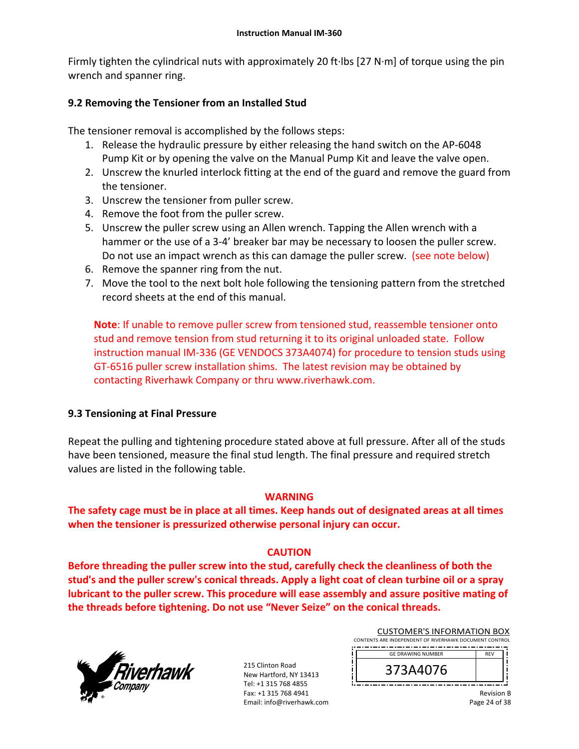Firmly tighten the cylindrical nuts with approximately 20 ft∙lbs [27 N∙m] of torque using the pin wrench and spanner ring.

## **9.2 Removing the Tensioner from an Installed Stud**

The tensioner removal is accomplished by the follows steps:

- 1. Release the hydraulic pressure by either releasing the hand switch on the AP‐6048 Pump Kit or by opening the valve on the Manual Pump Kit and leave the valve open.
- 2. Unscrew the knurled interlock fitting at the end of the guard and remove the guard from the tensioner.
- 3. Unscrew the tensioner from puller screw.
- 4. Remove the foot from the puller screw.
- 5. Unscrew the puller screw using an Allen wrench. Tapping the Allen wrench with a hammer or the use of a 3-4' breaker bar may be necessary to loosen the puller screw. Do not use an impact wrench as this can damage the puller screw. (see note below)
- 6. Remove the spanner ring from the nut.
- 7. Move the tool to the next bolt hole following the tensioning pattern from the stretched record sheets at the end of this manual.

**Note**: If unable to remove puller screw from tensioned stud, reassemble tensioner onto stud and remove tension from stud returning it to its original unloaded state. Follow instruction manual IM‐336 (GE VENDOCS 373A4074) for procedure to tension studs using GT‐6516 puller screw installation shims. The latest revision may be obtained by contacting Riverhawk Company or thru www.riverhawk.com.

### **9.3 Tensioning at Final Pressure**

Repeat the pulling and tightening procedure stated above at full pressure. After all of the studs have been tensioned, measure the final stud length. The final pressure and required stretch values are listed in the following table.

#### **WARNING**

**The safety cage must be in place at all times. Keep hands out of designated areas at all times when the tensioner is pressurized otherwise personal injury can occur.** 

### **CAUTION**

**Before threading the puller screw into the stud, carefully check the cleanliness of both the stud's and the puller screw's conical threads. Apply a light coat of clean turbine oil or a spray lubricant to the puller screw. This procedure will ease assembly and assure positive mating of the threads before tightening. Do not use "Never Seize" on the conical threads.** 



215 Clinton Road New Hartford, NY 13413 Tel: +1 315 768 4855 Fax: +1 315 768 4941 Email: info@riverhawk.com  $\ddot{\cdot}$ 

| <b>CUSTOMER'S INFORMATION BOX</b>                      |
|--------------------------------------------------------|
| CONTENTS ARE INDEPENDENT OF RIVERHAWK DOCUMENT CONTROL |
|                                                        |

| <b>GE DRAWING NUMBER</b> | F١ |  |
|--------------------------|----|--|
| ס נ                      |    |  |
|                          |    |  |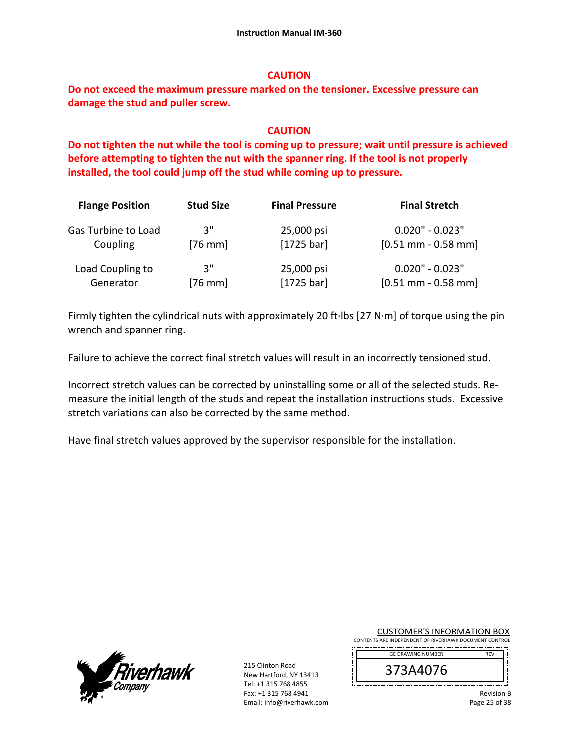### **CAUTION**

**Do not exceed the maximum pressure marked on the tensioner. Excessive pressure can damage the stud and puller screw.** 

## **CAUTION**

**Do not tighten the nut while the tool is coming up to pressure; wait until pressure is achieved before attempting to tighten the nut with the spanner ring. If the tool is not properly installed, the tool could jump off the stud while coming up to pressure.**

| <b>Flange Position</b> | <b>Stud Size</b> | <b>Final Pressure</b> | <b>Final Stretch</b>  |
|------------------------|------------------|-----------------------|-----------------------|
| Gas Turbine to Load    | יי 3             | 25,000 psi            | $0.020" - 0.023"$     |
| Coupling               | $[76$ mm]        | $[1725 \text{ bar}]$  | $[0.51$ mm - 0.58 mm] |
| Load Coupling to       | 3"               | 25,000 psi            | $0.020" - 0.023"$     |
| Generator              | [76 mm]          | $[1725 \text{ bar}]$  | $[0.51$ mm - 0.58 mm] |

Firmly tighten the cylindrical nuts with approximately 20 ft∙lbs [27 N∙m] of torque using the pin wrench and spanner ring.

Failure to achieve the correct final stretch values will result in an incorrectly tensioned stud.

Incorrect stretch values can be corrected by uninstalling some or all of the selected studs. Re‐ measure the initial length of the studs and repeat the installation instructions studs. Excessive stretch variations can also be corrected by the same method.

Have final stretch values approved by the supervisor responsible for the installation.



215 Clinton Road New Hartford, NY 13413 Tel: +1 315 768 4855 Fax: +1 315 768 4941 Email: info@riverhawk.com į

i IJ

CUSTOMER'S INFORMATION BOX CONTENTS ARE INDEPENDENT OF RIVERHAWK DOCUMENT CONTROL

| <b>GE DRAWING NUMBER</b> | <b>RFV</b> |  |
|--------------------------|------------|--|
| 70                       |            |  |
|                          |            |  |

Revision B Page 25 of 38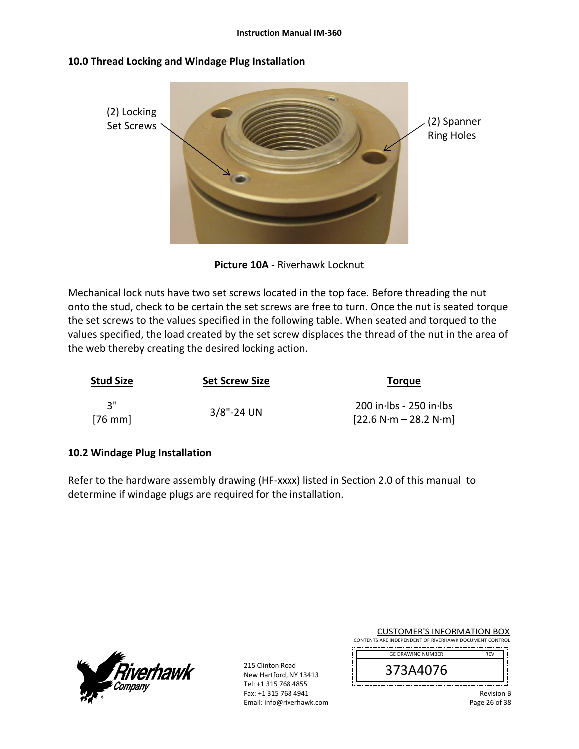### **10.0 Thread Locking and Windage Plug Installation**



**Picture 10A** ‐ Riverhawk Locknut

Mechanical lock nuts have two set screws located in the top face. Before threading the nut onto the stud, check to be certain the set screws are free to turn. Once the nut is seated torque the set screws to the values specified in the following table. When seated and torqued to the values specified, the load created by the set screw displaces the thread of the nut in the area of the web thereby creating the desired locking action.

| <b>Stud Size</b> | <b>Set Screw Size</b> | <b>Torque</b>                                        |
|------------------|-----------------------|------------------------------------------------------|
| ່ ?"<br>$[76$ mm | $3/8$ "-24 UN         | $200$ in lbs - 250 in lbs<br>$[22.6 N·m - 28.2 N·m]$ |

#### **10.2 Windage Plug Installation**

Refer to the hardware assembly drawing (HF-xxxx) listed in Section 2.0 of this manual to determine if windage plugs are required for the installation.



215 Clinton Road New Hartford, NY 13413 Tel: +1 315 768 4855 Fax: +1 315 768 4941 Email: info@riverhawk.com Ţ i

| <b>CUSTOMER'S INFORMATION BOX</b>                      |
|--------------------------------------------------------|
| CONTENTS ARE INDEPENDENT OF RIVERHAWK DOCUMENT CONTROL |
|                                                        |

| <b>GE DRAWING NUMBER</b> | <b>RFV</b> |
|--------------------------|------------|
| 3A4U/6<br>Э              |            |
|                          |            |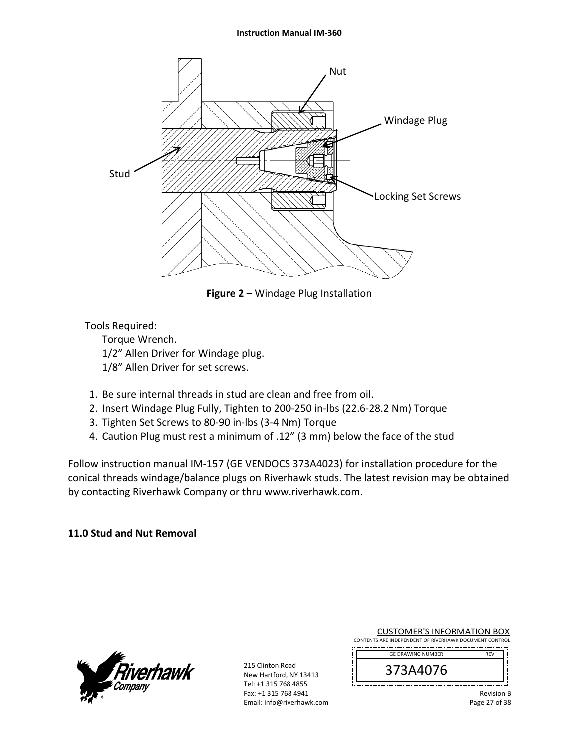#### **Instruction Manual IM‐360**



**Figure 2** – Windage Plug Installation

Tools Required:

 Torque Wrench. 1/2" Allen Driver for Windage plug. 1/8" Allen Driver for set screws.

- 1. Be sure internal threads in stud are clean and free from oil.
- 2. Insert Windage Plug Fully, Tighten to 200‐250 in‐lbs (22.6‐28.2 Nm) Torque
- 3. Tighten Set Screws to 80‐90 in‐lbs (3‐4 Nm) Torque
- 4. Caution Plug must rest a minimum of .12" (3 mm) below the face of the stud

Follow instruction manual IM‐157 (GE VENDOCS 373A4023) for installation procedure for the conical threads windage/balance plugs on Riverhawk studs. The latest revision may be obtained by contacting Riverhawk Company or thru www.riverhawk.com.

#### **11.0 Stud and Nut Removal**



215 Clinton Road New Hartford, NY 13413 Tel: +1 315 768 4855 Fax: +1 315 768 4941 Email: info@riverhawk.com

Ţ

CUSTOMER'S INFORMATION BOX CONTENTS ARE INDEPENDENT OF RIVERHAWK DOCUMENT CONTROL ------------------------------------

| <b>GE DRAWING NUMBER</b> |  |
|--------------------------|--|
| u76                      |  |
|                          |  |

Revision B Page 27 of 38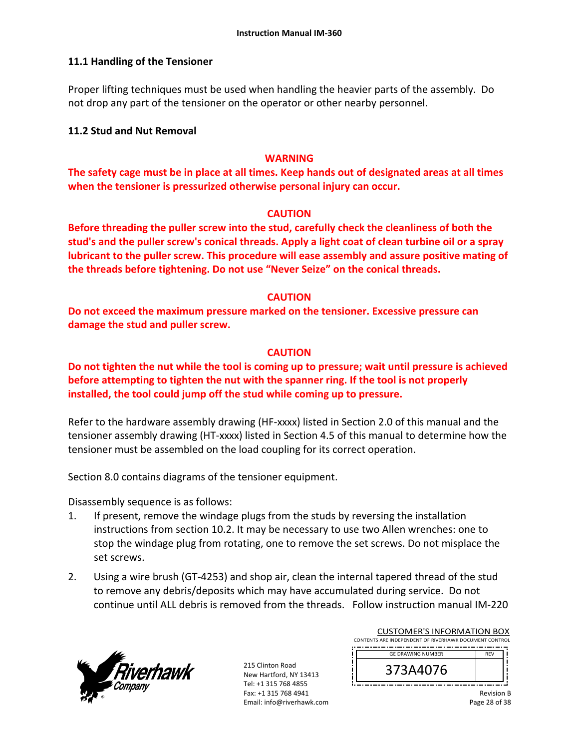### **11.1 Handling of the Tensioner**

Proper lifting techniques must be used when handling the heavier parts of the assembly. Do not drop any part of the tensioner on the operator or other nearby personnel.

#### **11.2 Stud and Nut Removal**

### **WARNING**

**The safety cage must be in place at all times. Keep hands out of designated areas at all times when the tensioner is pressurized otherwise personal injury can occur.** 

#### **CAUTION**

**Before threading the puller screw into the stud, carefully check the cleanliness of both the stud's and the puller screw's conical threads. Apply a light coat of clean turbine oil or a spray lubricant to the puller screw. This procedure will ease assembly and assure positive mating of the threads before tightening. Do not use "Never Seize" on the conical threads.** 

#### **CAUTION**

**Do not exceed the maximum pressure marked on the tensioner. Excessive pressure can damage the stud and puller screw.** 

#### **CAUTION**

**Do not tighten the nut while the tool is coming up to pressure; wait until pressure is achieved before attempting to tighten the nut with the spanner ring. If the tool is not properly installed, the tool could jump off the stud while coming up to pressure.** 

Refer to the hardware assembly drawing (HF-xxxx) listed in Section 2.0 of this manual and the tensioner assembly drawing (HT‐xxxx) listed in Section 4.5 of this manual to determine how the tensioner must be assembled on the load coupling for its correct operation.

Section 8.0 contains diagrams of the tensioner equipment.

Disassembly sequence is as follows:

- 1. If present, remove the windage plugs from the studs by reversing the installation instructions from section 10.2. It may be necessary to use two Allen wrenches: one to stop the windage plug from rotating, one to remove the set screws. Do not misplace the set screws.
- 2. Using a wire brush (GT‐4253) and shop air, clean the internal tapered thread of the stud to remove any debris/deposits which may have accumulated during service. Do not continue until ALL debris is removed from the threads. Follow instruction manual IM‐220



215 Clinton Road New Hartford, NY 13413 Tel: +1 315 768 4855 Fax: +1 315 768 4941 Email: info@riverhawk.com

| CUSTOMER S INFORMATION BOX                             |  |
|--------------------------------------------------------|--|
| CONTENTS ARE INDEPENDENT OF RIVERHAWK DOCUMENT CONTROL |  |
|                                                        |  |
| <b>GE DRAWING NUMBER</b>                               |  |
|                                                        |  |

| 14076<br><b>D</b>                                    |          |    |   |
|------------------------------------------------------|----------|----|---|
| - -<br>--<br>--<br>--<br>--<br>--<br>--<br>--<br>. . | --<br>-- | -- | . |
|                                                      |          |    |   |

 $\overline{C}$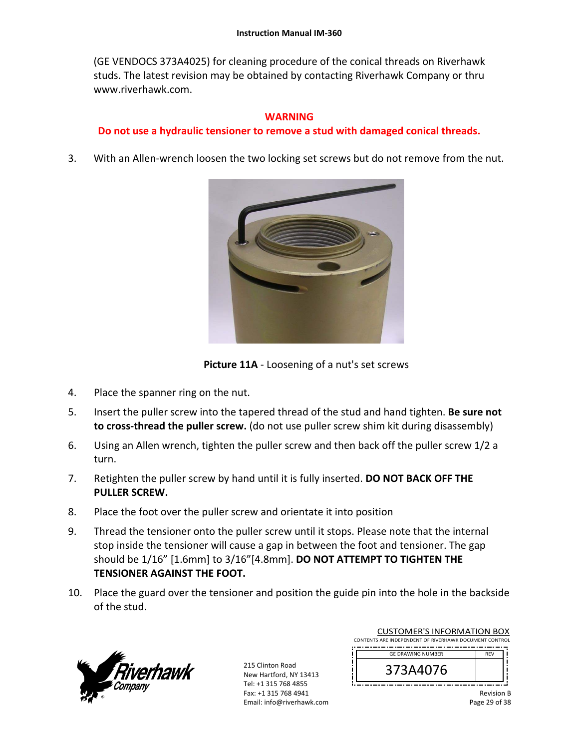#### **Instruction Manual IM‐360**

(GE VENDOCS 373A4025) for cleaning procedure of the conical threads on Riverhawk studs. The latest revision may be obtained by contacting Riverhawk Company or thru www.riverhawk.com.

#### **WARNING**

### **Do not use a hydraulic tensioner to remove a stud with damaged conical threads.**

3. With an Allen‐wrench loosen the two locking set screws but do not remove from the nut.



**Picture 11A** ‐ Loosening of a nut's set screws

- 4. Place the spanner ring on the nut.
- 5. Insert the puller screw into the tapered thread of the stud and hand tighten. **Be sure not to cross‐thread the puller screw.** (do not use puller screw shim kit during disassembly)
- 6. Using an Allen wrench, tighten the puller screw and then back off the puller screw 1/2 a turn.
- 7. Retighten the puller screw by hand until it is fully inserted. **DO NOT BACK OFF THE PULLER SCREW.**
- 8. Place the foot over the puller screw and orientate it into position
- 9. Thread the tensioner onto the puller screw until it stops. Please note that the internal stop inside the tensioner will cause a gap in between the foot and tensioner. The gap should be 1/16" [1.6mm] to 3/16"[4.8mm]. **DO NOT ATTEMPT TO TIGHTEN THE TENSIONER AGAINST THE FOOT.**
- 10. Place the guard over the tensioner and position the guide pin into the hole in the backside of the stud.



| <b>CUSTOMER'S INFORMATION BOX</b><br>CONTENTS ARE INDEPENDENT OF RIVERHAWK DOCUMENT CONTROL |            |  |
|---------------------------------------------------------------------------------------------|------------|--|
| <b>GE DRAWING NUMBER</b>                                                                    | <b>REV</b> |  |
| 373A4076                                                                                    |            |  |

| .<br>-                                           |  |
|--------------------------------------------------|--|
| 14076<br>J                                       |  |
| . .<br>$\overline{\phantom{a}}$<br>--<br>--<br>. |  |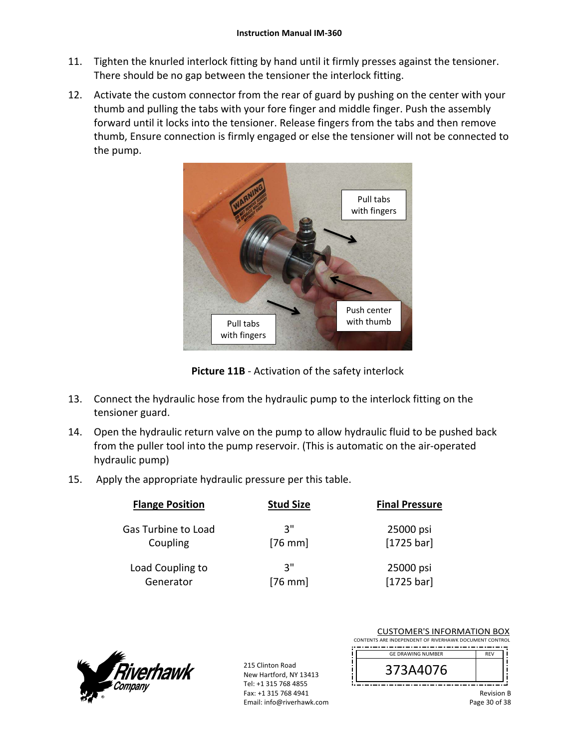- 11. Tighten the knurled interlock fitting by hand until it firmly presses against the tensioner. There should be no gap between the tensioner the interlock fitting.
- 12. Activate the custom connector from the rear of guard by pushing on the center with your thumb and pulling the tabs with your fore finger and middle finger. Push the assembly forward until it locks into the tensioner. Release fingers from the tabs and then remove thumb, Ensure connection is firmly engaged or else the tensioner will not be connected to the pump.



**Picture 11B** ‐ Activation of the safety interlock

- 13. Connect the hydraulic hose from the hydraulic pump to the interlock fitting on the tensioner guard.
- 14. Open the hydraulic return valve on the pump to allow hydraulic fluid to be pushed back from the puller tool into the pump reservoir. (This is automatic on the air‐operated hydraulic pump)
- 15. Apply the appropriate hydraulic pressure per this table.

| <b>Flange Position</b>     | <b>Stud Size</b> | <b>Final Pressure</b> |
|----------------------------|------------------|-----------------------|
| <b>Gas Turbine to Load</b> | יי ג             | 25000 psi             |
| Coupling                   | $[76$ mm         | $[1725 \text{ bar}]$  |
| Load Coupling to           | יי ג             | 25000 psi             |
| Generator                  | $[76$ mm         | $[1725 \text{ bar}]$  |



215 Clinton Road New Hartford, NY 13413 Tel: +1 315 768 4855 Fax: +1 315 768 4941 Email: info@riverhawk.com

| CUSTUMER S INFORMATION BOX                             |            |  |
|--------------------------------------------------------|------------|--|
| CONTENTS ARE INDEPENDENT OF RIVERHAWK DOCUMENT CONTROL |            |  |
|                                                        |            |  |
| <b>GE DRAWING NUMBER</b>                               | <b>REV</b> |  |
|                                                        |            |  |

 $\frac{1}{2}$ 

| 3A4U/6<br>C. |  |
|--------------|--|
|              |  |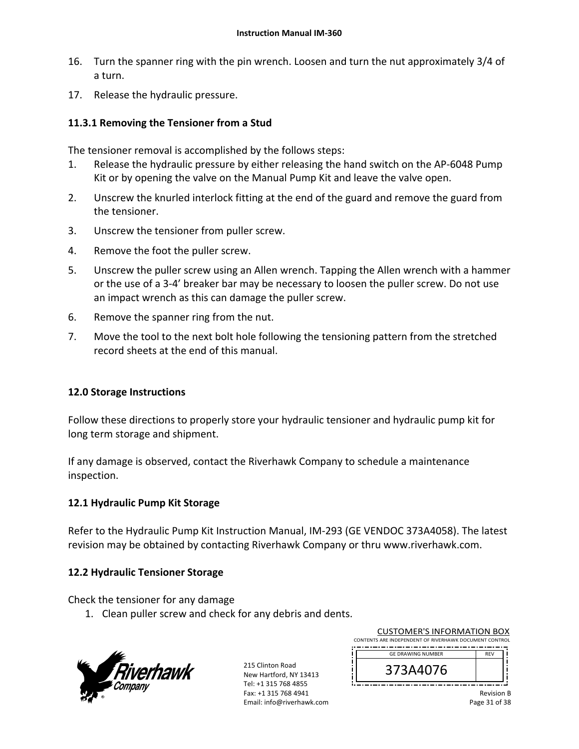- 16. Turn the spanner ring with the pin wrench. Loosen and turn the nut approximately 3/4 of a turn.
- 17. Release the hydraulic pressure.

### **11.3.1 Removing the Tensioner from a Stud**

The tensioner removal is accomplished by the follows steps:

- 1. Release the hydraulic pressure by either releasing the hand switch on the AP‐6048 Pump Kit or by opening the valve on the Manual Pump Kit and leave the valve open.
- 2. Unscrew the knurled interlock fitting at the end of the guard and remove the guard from the tensioner.
- 3. Unscrew the tensioner from puller screw.
- 4. Remove the foot the puller screw.
- 5. Unscrew the puller screw using an Allen wrench. Tapping the Allen wrench with a hammer or the use of a 3‐4' breaker bar may be necessary to loosen the puller screw. Do not use an impact wrench as this can damage the puller screw.
- 6. Remove the spanner ring from the nut.
- 7. Move the tool to the next bolt hole following the tensioning pattern from the stretched record sheets at the end of this manual.

#### **12.0 Storage Instructions**

Follow these directions to properly store your hydraulic tensioner and hydraulic pump kit for long term storage and shipment.

If any damage is observed, contact the Riverhawk Company to schedule a maintenance inspection.

#### **12.1 Hydraulic Pump Kit Storage**

Refer to the Hydraulic Pump Kit Instruction Manual, IM‐293 (GE VENDOC 373A4058). The latest revision may be obtained by contacting Riverhawk Company or thru www.riverhawk.com.

### **12.2 Hydraulic Tensioner Storage**

Check the tensioner for any damage

1. Clean puller screw and check for any debris and dents.



215 Clinton Road New Hartford, NY 13413 Tel: +1 315 768 4855 Fax: +1 315 768 4941 Email: info@riverhawk.com

| CUSTOMER'S INFORMATION BOX<br>CONTENTS ARE INDEPENDENT OF RIVERHAWK DOCUMENT CONTROL |            |  |
|--------------------------------------------------------------------------------------|------------|--|
| <b>GE DRAWING NUMBER</b>                                                             | <b>REV</b> |  |
| 373A4076                                                                             |            |  |

customer's into a strain box

| <b>UL UNAWING NUMBER</b> | א - מ |  |
|--------------------------|-------|--|
| <b>DIUPAC</b><br>J       |       |  |
|                          |       |  |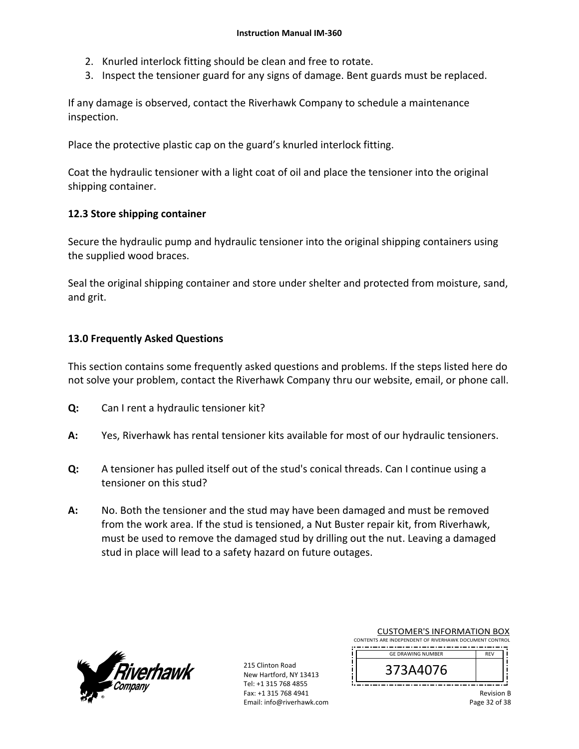- 2. Knurled interlock fitting should be clean and free to rotate.
- 3. Inspect the tensioner guard for any signs of damage. Bent guards must be replaced.

If any damage is observed, contact the Riverhawk Company to schedule a maintenance inspection.

Place the protective plastic cap on the guard's knurled interlock fitting.

Coat the hydraulic tensioner with a light coat of oil and place the tensioner into the original shipping container.

### **12.3 Store shipping container**

Secure the hydraulic pump and hydraulic tensioner into the original shipping containers using the supplied wood braces.

Seal the original shipping container and store under shelter and protected from moisture, sand, and grit.

### **13.0 Frequently Asked Questions**

This section contains some frequently asked questions and problems. If the steps listed here do not solve your problem, contact the Riverhawk Company thru our website, email, or phone call.

- **Q:**  Can I rent a hydraulic tensioner kit?
- **A:**  Yes, Riverhawk has rental tensioner kits available for most of our hydraulic tensioners.
- **Q:**  A tensioner has pulled itself out of the stud's conical threads. Can I continue using a tensioner on this stud?
- **A:**  No. Both the tensioner and the stud may have been damaged and must be removed from the work area. If the stud is tensioned, a Nut Buster repair kit, from Riverhawk, must be used to remove the damaged stud by drilling out the nut. Leaving a damaged stud in place will lead to a safety hazard on future outages.



|                                                        | <b>CUSTOMER'S INFORMATION BOX</b> |  |  |  |  |
|--------------------------------------------------------|-----------------------------------|--|--|--|--|
| CONTENTS ARE INDEPENDENT OF RIVERHAWK DOCUMENT CONTROL |                                   |  |  |  |  |
|                                                        |                                   |  |  |  |  |

| <b>GE DRAWING NUMBER</b> |  |
|--------------------------|--|
| 3A4U/b<br>⊃              |  |
|                          |  |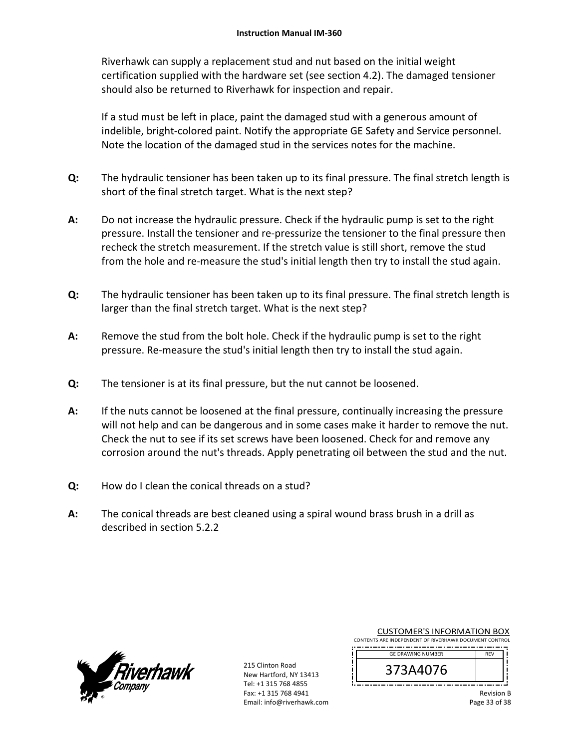Riverhawk can supply a replacement stud and nut based on the initial weight certification supplied with the hardware set (see section 4.2). The damaged tensioner should also be returned to Riverhawk for inspection and repair.

If a stud must be left in place, paint the damaged stud with a generous amount of indelible, bright‐colored paint. Notify the appropriate GE Safety and Service personnel. Note the location of the damaged stud in the services notes for the machine.

- **Q:**  The hydraulic tensioner has been taken up to its final pressure. The final stretch length is short of the final stretch target. What is the next step?
- **A:**  Do not increase the hydraulic pressure. Check if the hydraulic pump is set to the right pressure. Install the tensioner and re‐pressurize the tensioner to the final pressure then recheck the stretch measurement. If the stretch value is still short, remove the stud from the hole and re-measure the stud's initial length then try to install the stud again.
- **Q:**  The hydraulic tensioner has been taken up to its final pressure. The final stretch length is larger than the final stretch target. What is the next step?
- **A:**  Remove the stud from the bolt hole. Check if the hydraulic pump is set to the right pressure. Re-measure the stud's initial length then try to install the stud again.
- **Q:**  The tensioner is at its final pressure, but the nut cannot be loosened.
- **A:**  If the nuts cannot be loosened at the final pressure, continually increasing the pressure will not help and can be dangerous and in some cases make it harder to remove the nut. Check the nut to see if its set screws have been loosened. Check for and remove any corrosion around the nut's threads. Apply penetrating oil between the stud and the nut.
- **Q:**  How do I clean the conical threads on a stud?
- **A:**  The conical threads are best cleaned using a spiral wound brass brush in a drill as described in section 5.2.2



| <b>CUSTOMER'S INFORMATION BOX</b>                      |
|--------------------------------------------------------|
| CONTENTS ARE INDEPENDENT OF RIVERHAWK DOCUMENT CONTROL |
|                                                        |

| <b>GE DRAWING NUMBER</b> | <b>DEV</b> |  |
|--------------------------|------------|--|
| b                        |            |  |
|                          |            |  |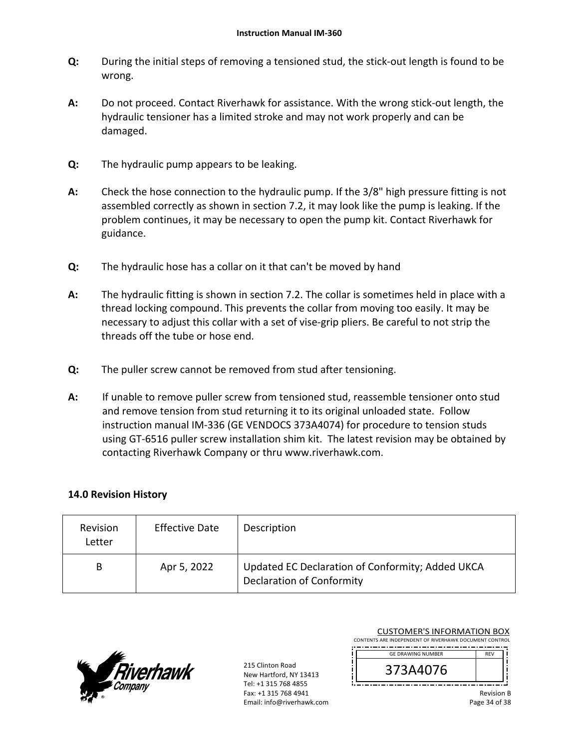- **Q:**  During the initial steps of removing a tensioned stud, the stick‐out length is found to be wrong.
- **A:**  Do not proceed. Contact Riverhawk for assistance. With the wrong stick‐out length, the hydraulic tensioner has a limited stroke and may not work properly and can be damaged.
- **Q:**  The hydraulic pump appears to be leaking.
- **A:**  Check the hose connection to the hydraulic pump. If the 3/8" high pressure fitting is not assembled correctly as shown in section 7.2, it may look like the pump is leaking. If the problem continues, it may be necessary to open the pump kit. Contact Riverhawk for guidance.
- **Q:**  The hydraulic hose has a collar on it that can't be moved by hand
- **A:**  The hydraulic fitting is shown in section 7.2. The collar is sometimes held in place with a thread locking compound. This prevents the collar from moving too easily. It may be necessary to adjust this collar with a set of vise‐grip pliers. Be careful to not strip the threads off the tube or hose end.
- **Q:**  The puller screw cannot be removed from stud after tensioning.
- **A:**  If unable to remove puller screw from tensioned stud, reassemble tensioner onto stud and remove tension from stud returning it to its original unloaded state. Follow instruction manual IM‐336 (GE VENDOCS 373A4074) for procedure to tension studs using GT‐6516 puller screw installation shim kit. The latest revision may be obtained by contacting Riverhawk Company or thru www.riverhawk.com.

### **14.0 Revision History**

| Revision<br>Letter | <b>Effective Date</b> | Description                                                                          |
|--------------------|-----------------------|--------------------------------------------------------------------------------------|
| B                  | Apr 5, 2022           | Updated EC Declaration of Conformity; Added UKCA<br><b>Declaration of Conformity</b> |



215 Clinton Road New Hartford, NY 13413 Tel: +1 315 768 4855 Fax: +1 315 768 4941 Email: info@riverhawk.com

| CONTENTS ARE INDEPENDENT OF RIVERHAWK DOCUMENT CONTROL |            |
|--------------------------------------------------------|------------|
| <b>GE DRAWING NUMBER</b>                               | <b>RFV</b> |
| 3A4076                                                 |            |
|                                                        |            |

CUSTOMER'S INFORMATION BOX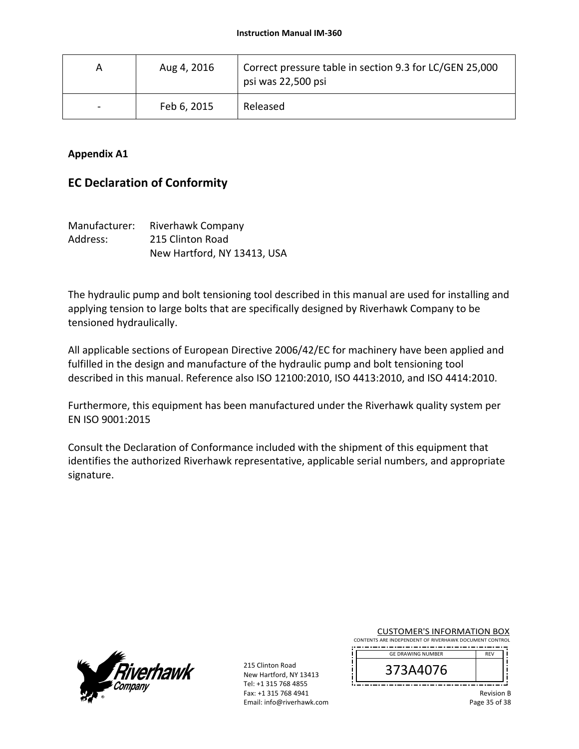| A                        | Aug 4, 2016 | Correct pressure table in section 9.3 for LC/GEN 25,000<br>psi was 22,500 psi |
|--------------------------|-------------|-------------------------------------------------------------------------------|
| $\overline{\phantom{0}}$ | Feb 6, 2015 | Released                                                                      |

### **Appendix A1**

# **EC Declaration of Conformity**

| Manufacturer: | Riverhawk Company           |
|---------------|-----------------------------|
| Address:      | 215 Clinton Road            |
|               | New Hartford, NY 13413, USA |

The hydraulic pump and bolt tensioning tool described in this manual are used for installing and applying tension to large bolts that are specifically designed by Riverhawk Company to be tensioned hydraulically.

All applicable sections of European Directive 2006/42/EC for machinery have been applied and fulfilled in the design and manufacture of the hydraulic pump and bolt tensioning tool described in this manual. Reference also ISO 12100:2010, ISO 4413:2010, and ISO 4414:2010.

Furthermore, this equipment has been manufactured under the Riverhawk quality system per EN ISO 9001:2015

Consult the Declaration of Conformance included with the shipment of this equipment that identifies the authorized Riverhawk representative, applicable serial numbers, and appropriate signature.



215 Clinton Road New Hartford, NY 13413 Tel: +1 315 768 4855 Fax: +1 315 768 4941 Email: info@riverhawk.com  $\mathbf{I}$ 

CUSTOMER'S INFORMATION BOX CONTENTS ARE INDEPENDENT OF RIVERHAWK DOCUMENT CONTROL 

| <b>GE DRAWING NUMBER</b> | <b>RFV</b> |  |
|--------------------------|------------|--|
| b<br>U7.                 |            |  |
|                          |            |  |

Revision B Page 35 of 38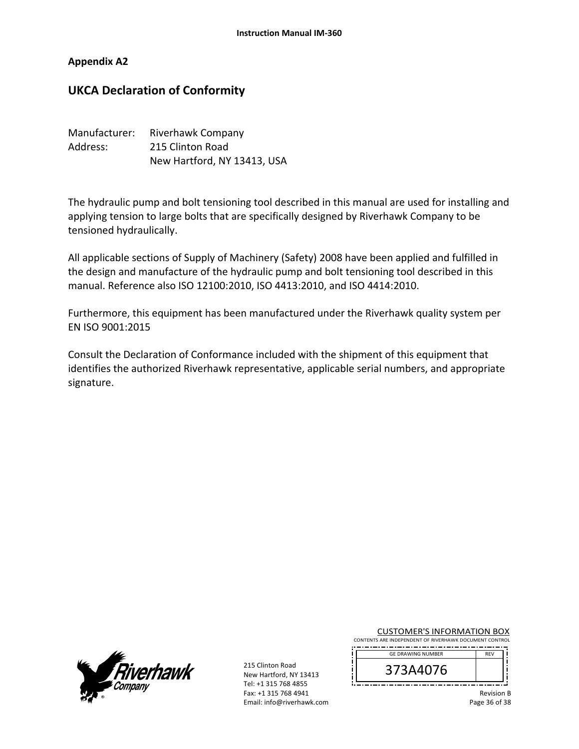#### **Appendix A2**

## **UKCA Declaration of Conformity**

| Manufacturer: | <b>Riverhawk Company</b>    |
|---------------|-----------------------------|
| Address:      | 215 Clinton Road            |
|               | New Hartford, NY 13413, USA |

The hydraulic pump and bolt tensioning tool described in this manual are used for installing and applying tension to large bolts that are specifically designed by Riverhawk Company to be tensioned hydraulically.

All applicable sections of Supply of Machinery (Safety) 2008 have been applied and fulfilled in the design and manufacture of the hydraulic pump and bolt tensioning tool described in this manual. Reference also ISO 12100:2010, ISO 4413:2010, and ISO 4414:2010.

Furthermore, this equipment has been manufactured under the Riverhawk quality system per EN ISO 9001:2015

Consult the Declaration of Conformance included with the shipment of this equipment that identifies the authorized Riverhawk representative, applicable serial numbers, and appropriate signature.



215 Clinton Road New Hartford, NY 13413 Tel: +1 315 768 4855 Fax: +1 315 768 4941 Email: info@riverhawk.com ī i IJ

CUSTOMER'S INFORMATION BOX CONTENTS ARE INDEPENDENT OF RIVERHAWK DOCUMENT CONTROL

| <b>GE DRAWING NUMBER</b> | <b>RFV</b> |  |
|--------------------------|------------|--|
| 70                       |            |  |
|                          |            |  |

Revision B Page 36 of 38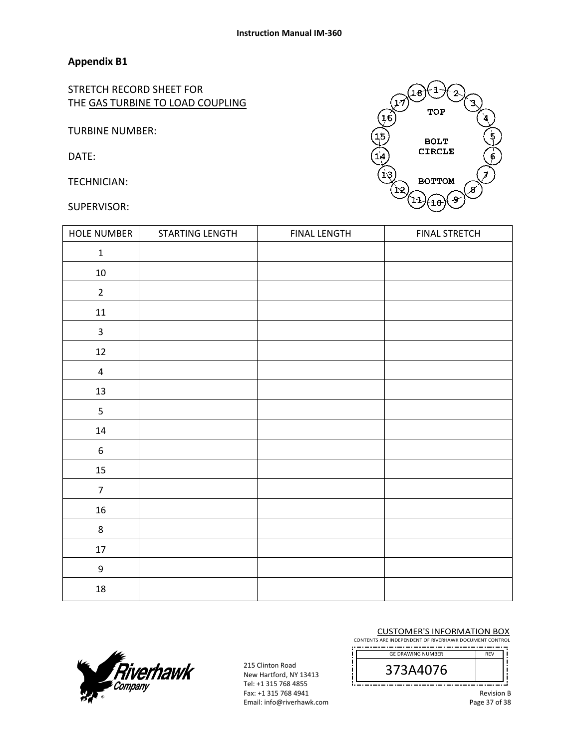### **Appendix B1**

STRETCH RECORD SHEET FOR THE GAS TURBINE TO LOAD COUPLING

TURBINE NUMBER:

DATE:

TECHNICIAN:

#### SUPERVISOR:



| <b>HOLE NUMBER</b>      | STARTING LENGTH | <b>FINAL LENGTH</b> | <b>FINAL STRETCH</b> |
|-------------------------|-----------------|---------------------|----------------------|
| $\mathbf 1$             |                 |                     |                      |
| $10\,$                  |                 |                     |                      |
| $\overline{2}$          |                 |                     |                      |
| $11\,$                  |                 |                     |                      |
| $\overline{\mathbf{3}}$ |                 |                     |                      |
| $12\,$                  |                 |                     |                      |
| $\overline{\mathbf{4}}$ |                 |                     |                      |
| 13                      |                 |                     |                      |
| 5                       |                 |                     |                      |
| $14\,$                  |                 |                     |                      |
| $\boldsymbol{6}$        |                 |                     |                      |
| 15                      |                 |                     |                      |
| $\overline{7}$          |                 |                     |                      |
| 16                      |                 |                     |                      |
| $\,8\,$                 |                 |                     |                      |
| 17                      |                 |                     |                      |
| $\boldsymbol{9}$        |                 |                     |                      |
| 18                      |                 |                     |                      |



215 Clinton Road New Hartford, NY 13413 Tel: +1 315 768 4855 Fax: +1 315 768 4941 Email: info@riverhawk.com j Ţ

 $\prod_{i=1}^{n}$ 

CUSTOMER'S INFORMATION BOX

CONTENTS ARE INDEPENDENT OF RIVERHAWK DOCUMENT CONTROL ---------------------------

| <b>GE DRAWING NUMBER</b> | <b>RFV</b> |
|--------------------------|------------|
| A4076<br>O               |            |
|                          |            |